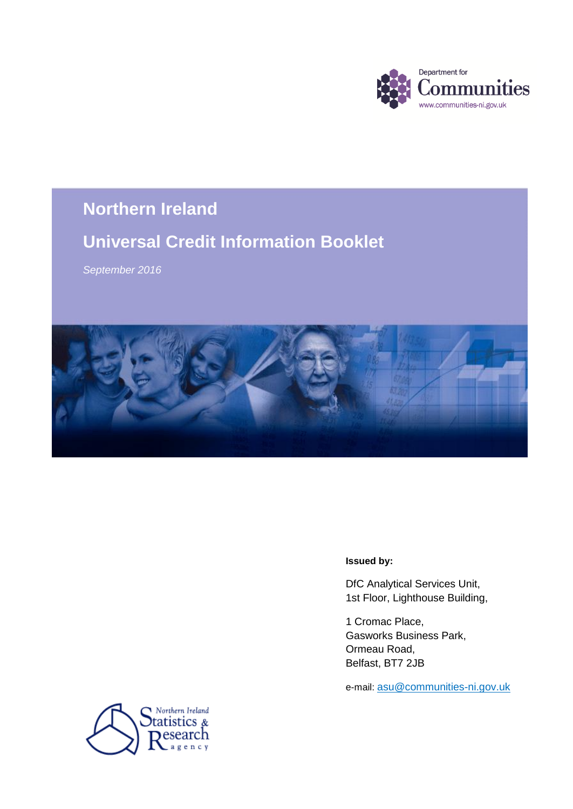

# **Northern Ireland Northern Ireland**

# **Universal Credit Information Booklet**

*September 2016*



#### **Issued by:**

DfC Analytical Services Unit, 1st Floor, Lighthouse Building,

1 Cromac Place, Gasworks Business Park, Ormeau Road, Belfast, BT7 2JB

e-mail: [asu@communities-ni.gov.uk](mailto:asu@communities-ni.gov.uk)

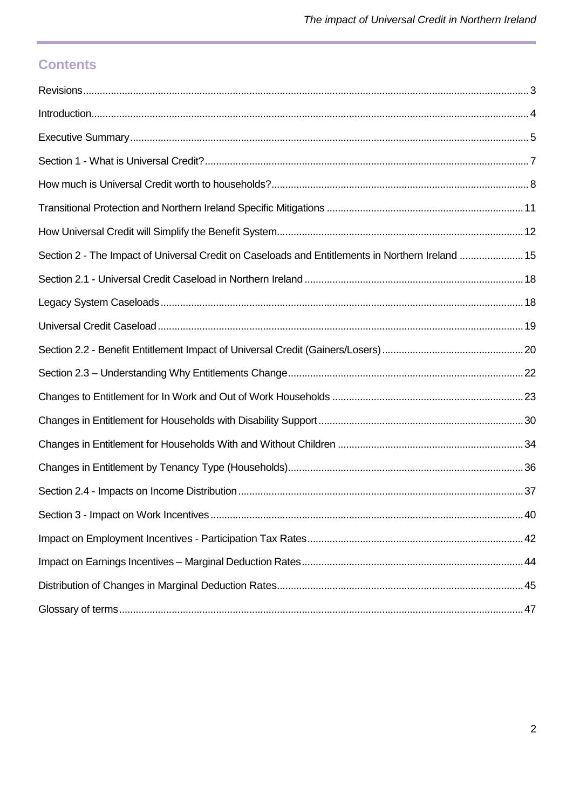# **Contents**

| Section 2 - The Impact of Universal Credit on Caseloads and Entitlements in Northern Ireland  15 |  |
|--------------------------------------------------------------------------------------------------|--|
|                                                                                                  |  |
|                                                                                                  |  |
|                                                                                                  |  |
|                                                                                                  |  |
|                                                                                                  |  |
|                                                                                                  |  |
|                                                                                                  |  |
|                                                                                                  |  |
|                                                                                                  |  |
|                                                                                                  |  |
|                                                                                                  |  |
|                                                                                                  |  |
|                                                                                                  |  |
|                                                                                                  |  |
|                                                                                                  |  |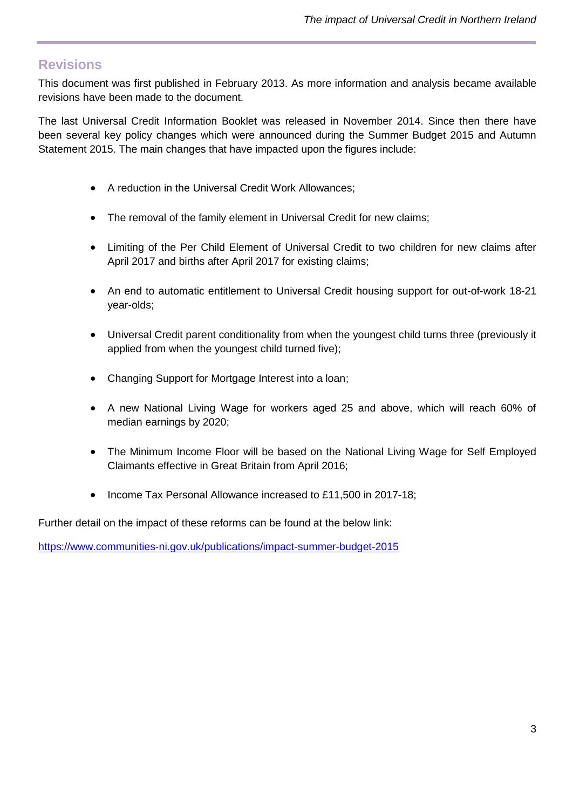# <span id="page-2-0"></span>**Revisions**

This document was first published in February 2013. As more information and analysis became available revisions have been made to the document.

The last Universal Credit Information Booklet was released in November 2014. Since then there have been several key policy changes which were announced during the Summer Budget 2015 and Autumn Statement 2015. The main changes that have impacted upon the figures include:

- A reduction in the Universal Credit Work Allowances;
- The removal of the family element in Universal Credit for new claims;
- Limiting of the Per Child Element of Universal Credit to two children for new claims after April 2017 and births after April 2017 for existing claims;
- An end to automatic entitlement to Universal Credit housing support for out-of-work 18-21 year-olds;
- Universal Credit parent conditionality from when the youngest child turns three (previously it applied from when the youngest child turned five);
- Changing Support for Mortgage Interest into a loan;
- A new National Living Wage for workers aged 25 and above, which will reach 60% of median earnings by 2020;
- The Minimum Income Floor will be based on the National Living Wage for Self Employed Claimants effective in Great Britain from April 2016;
- Income Tax Personal Allowance increased to £11,500 in 2017-18;

Further detail on the impact of these reforms can be found at the below link:

<https://www.communities-ni.gov.uk/publications/impact-summer-budget-2015>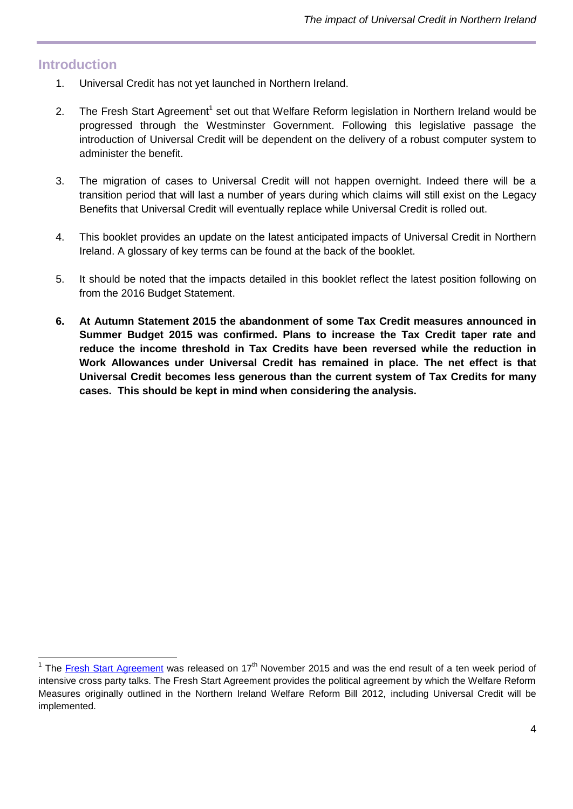# <span id="page-3-0"></span>**Introduction**

- 1. Universal Credit has not yet launched in Northern Ireland.
- 2. The Fresh Start Agreement<sup>1</sup> set out that Welfare Reform legislation in Northern Ireland would be progressed through the Westminster Government. Following this legislative passage the introduction of Universal Credit will be dependent on the delivery of a robust computer system to administer the benefit.
- 3. The migration of cases to Universal Credit will not happen overnight. Indeed there will be a transition period that will last a number of years during which claims will still exist on the Legacy Benefits that Universal Credit will eventually replace while Universal Credit is rolled out.
- 4. This booklet provides an update on the latest anticipated impacts of Universal Credit in Northern Ireland. A glossary of key terms can be found at the back of the booklet.
- 5. It should be noted that the impacts detailed in this booklet reflect the latest position following on from the 2016 Budget Statement.
- **6. At Autumn Statement 2015 the abandonment of some Tax Credit measures announced in Summer Budget 2015 was confirmed. Plans to increase the Tax Credit taper rate and reduce the income threshold in Tax Credits have been reversed while the reduction in Work Allowances under Universal Credit has remained in place. The net effect is that Universal Credit becomes less generous than the current system of Tax Credits for many cases. This should be kept in mind when considering the analysis.**

The [Fresh Start Agreement](https://www.gov.uk/government/news/a-fresh-start-for-northern-ireland) was released on 17<sup>th</sup> November 2015 and was the end result of a ten week period of intensive cross party talks. The Fresh Start Agreement provides the political agreement by which the Welfare Reform Measures originally outlined in the Northern Ireland Welfare Reform Bill 2012, including Universal Credit will be implemented.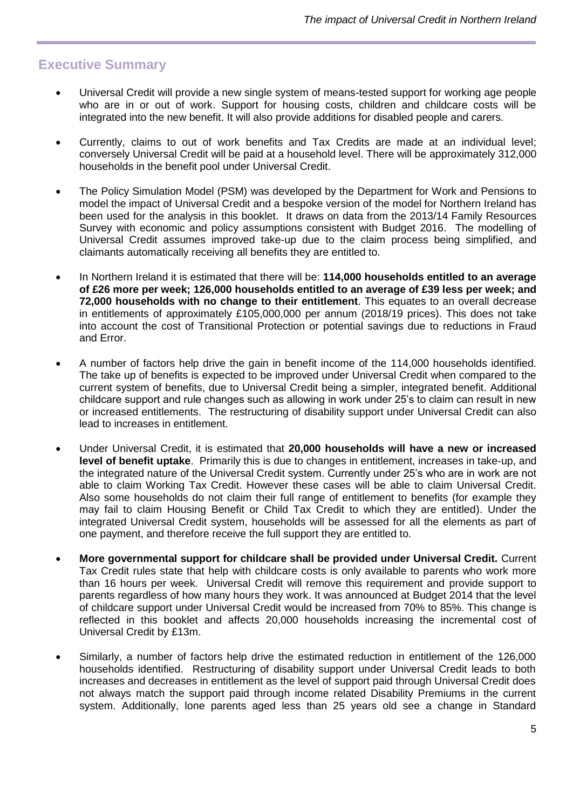# <span id="page-4-0"></span>**Executive Summary**

- Universal Credit will provide a new single system of means-tested support for working age people who are in or out of work. Support for housing costs, children and childcare costs will be integrated into the new benefit. It will also provide additions for disabled people and carers.
- Currently, claims to out of work benefits and Tax Credits are made at an individual level; conversely Universal Credit will be paid at a household level. There will be approximately 312,000 households in the benefit pool under Universal Credit.
- The Policy Simulation Model (PSM) was developed by the Department for Work and Pensions to model the impact of Universal Credit and a bespoke version of the model for Northern Ireland has been used for the analysis in this booklet. It draws on data from the 2013/14 Family Resources Survey with economic and policy assumptions consistent with Budget 2016. The modelling of Universal Credit assumes improved take-up due to the claim process being simplified, and claimants automatically receiving all benefits they are entitled to.
- In Northern Ireland it is estimated that there will be: **114,000 households entitled to an average of £26 more per week; 126,000 households entitled to an average of £39 less per week; and 72,000 households with no change to their entitlement**. This equates to an overall decrease in entitlements of approximately £105,000,000 per annum (2018/19 prices). This does not take into account the cost of Transitional Protection or potential savings due to reductions in Fraud and Error.
- A number of factors help drive the gain in benefit income of the 114,000 households identified. The take up of benefits is expected to be improved under Universal Credit when compared to the current system of benefits, due to Universal Credit being a simpler, integrated benefit. Additional childcare support and rule changes such as allowing in work under 25's to claim can result in new or increased entitlements. The restructuring of disability support under Universal Credit can also lead to increases in entitlement.
- Under Universal Credit, it is estimated that **20,000 households will have a new or increased level of benefit uptake**. Primarily this is due to changes in entitlement, increases in take-up, and the integrated nature of the Universal Credit system. Currently under 25's who are in work are not able to claim Working Tax Credit. However these cases will be able to claim Universal Credit. Also some households do not claim their full range of entitlement to benefits (for example they may fail to claim Housing Benefit or Child Tax Credit to which they are entitled). Under the integrated Universal Credit system, households will be assessed for all the elements as part of one payment, and therefore receive the full support they are entitled to.
- **More governmental support for childcare shall be provided under Universal Credit.** Current Tax Credit rules state that help with childcare costs is only available to parents who work more than 16 hours per week. Universal Credit will remove this requirement and provide support to parents regardless of how many hours they work. It was announced at Budget 2014 that the level of childcare support under Universal Credit would be increased from 70% to 85%. This change is reflected in this booklet and affects 20,000 households increasing the incremental cost of Universal Credit by £13m.
- Similarly, a number of factors help drive the estimated reduction in entitlement of the 126,000 households identified. Restructuring of disability support under Universal Credit leads to both increases and decreases in entitlement as the level of support paid through Universal Credit does not always match the support paid through income related Disability Premiums in the current system. Additionally, lone parents aged less than 25 years old see a change in Standard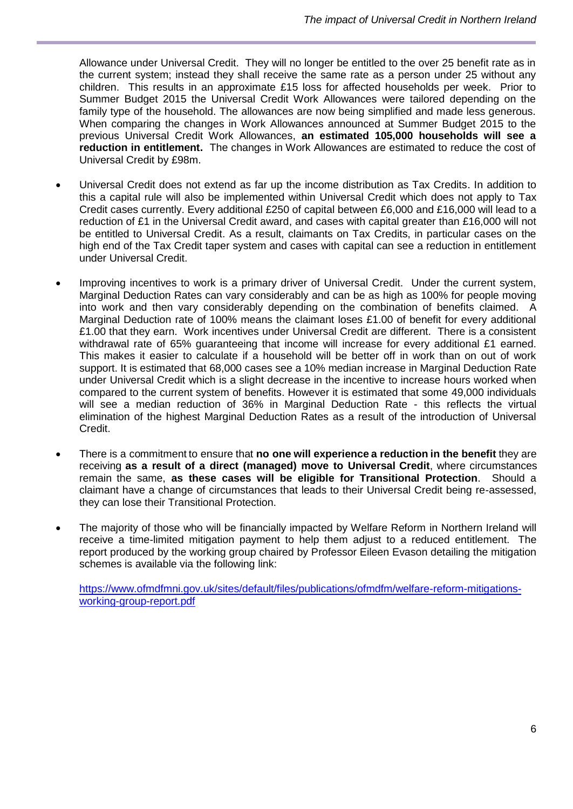Allowance under Universal Credit. They will no longer be entitled to the over 25 benefit rate as in the current system; instead they shall receive the same rate as a person under 25 without any children. This results in an approximate £15 loss for affected households per week. Prior to Summer Budget 2015 the Universal Credit Work Allowances were tailored depending on the family type of the household. The allowances are now being simplified and made less generous. When comparing the changes in Work Allowances announced at Summer Budget 2015 to the previous Universal Credit Work Allowances, **an estimated 105,000 households will see a reduction in entitlement.** The changes in Work Allowances are estimated to reduce the cost of Universal Credit by £98m.

- Universal Credit does not extend as far up the income distribution as Tax Credits. In addition to this a capital rule will also be implemented within Universal Credit which does not apply to Tax Credit cases currently. Every additional £250 of capital between £6,000 and £16,000 will lead to a reduction of £1 in the Universal Credit award, and cases with capital greater than £16,000 will not be entitled to Universal Credit. As a result, claimants on Tax Credits, in particular cases on the high end of the Tax Credit taper system and cases with capital can see a reduction in entitlement under Universal Credit.
- Improving incentives to work is a primary driver of Universal Credit. Under the current system, Marginal Deduction Rates can vary considerably and can be as high as 100% for people moving into work and then vary considerably depending on the combination of benefits claimed. A Marginal Deduction rate of 100% means the claimant loses £1.00 of benefit for every additional £1.00 that they earn. Work incentives under Universal Credit are different. There is a consistent withdrawal rate of 65% quaranteeing that income will increase for every additional £1 earned. This makes it easier to calculate if a household will be better off in work than on out of work support. It is estimated that 68,000 cases see a 10% median increase in Marginal Deduction Rate under Universal Credit which is a slight decrease in the incentive to increase hours worked when compared to the current system of benefits. However it is estimated that some 49,000 individuals will see a median reduction of 36% in Marginal Deduction Rate - this reflects the virtual elimination of the highest Marginal Deduction Rates as a result of the introduction of Universal Credit.
- There is a commitment to ensure that **no one will experience a reduction in the benefit** they are receiving **as a result of a direct (managed) move to Universal Credit**, where circumstances remain the same, **as these cases will be eligible for Transitional Protection**. Should a claimant have a change of circumstances that leads to their Universal Credit being re-assessed, they can lose their Transitional Protection.
- The majority of those who will be financially impacted by Welfare Reform in Northern Ireland will receive a time-limited mitigation payment to help them adjust to a reduced entitlement. The report produced by the working group chaired by Professor Eileen Evason detailing the mitigation schemes is available via the following link:

[https://www.ofmdfmni.gov.uk/sites/default/files/publications/ofmdfm/welfare-reform-mitigations](https://www.ofmdfmni.gov.uk/sites/default/files/publications/ofmdfm/welfare-reform-mitigations-working-group-report.pdf)[working-group-report.pdf](https://www.ofmdfmni.gov.uk/sites/default/files/publications/ofmdfm/welfare-reform-mitigations-working-group-report.pdf)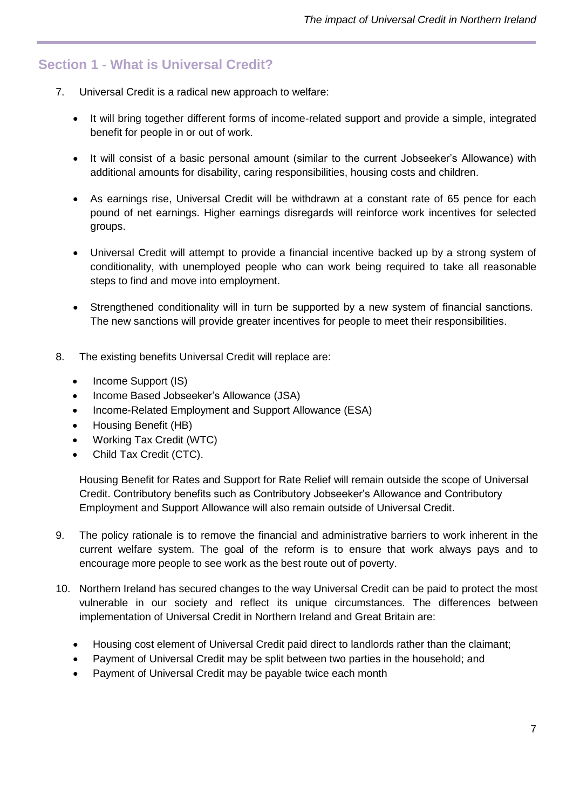# <span id="page-6-0"></span>**Section 1 - What is Universal Credit?**

- 7. Universal Credit is a radical new approach to welfare:
	- It will bring together different forms of income-related support and provide a simple, integrated benefit for people in or out of work.
	- It will consist of a basic personal amount (similar to the current Jobseeker's Allowance) with additional amounts for disability, caring responsibilities, housing costs and children.
	- As earnings rise, Universal Credit will be withdrawn at a constant rate of 65 pence for each pound of net earnings. Higher earnings disregards will reinforce work incentives for selected groups.
	- Universal Credit will attempt to provide a financial incentive backed up by a strong system of conditionality, with unemployed people who can work being required to take all reasonable steps to find and move into employment.
	- Strengthened conditionality will in turn be supported by a new system of financial sanctions. The new sanctions will provide greater incentives for people to meet their responsibilities.
- 8. The existing benefits Universal Credit will replace are:
	- Income Support (IS)
	- Income Based Jobseeker's Allowance (JSA)
	- Income-Related Employment and Support Allowance (ESA)
	- Housing Benefit (HB)
	- Working Tax Credit (WTC)
	- Child Tax Credit (CTC).

Housing Benefit for Rates and Support for Rate Relief will remain outside the scope of Universal Credit. Contributory benefits such as Contributory Jobseeker's Allowance and Contributory Employment and Support Allowance will also remain outside of Universal Credit.

- 9. The policy rationale is to remove the financial and administrative barriers to work inherent in the current welfare system. The goal of the reform is to ensure that work always pays and to encourage more people to see work as the best route out of poverty.
- 10. Northern Ireland has secured changes to the way Universal Credit can be paid to protect the most vulnerable in our society and reflect its unique circumstances. The differences between implementation of Universal Credit in Northern Ireland and Great Britain are:
	- Housing cost element of Universal Credit paid direct to landlords rather than the claimant;
	- Payment of Universal Credit may be split between two parties in the household; and
	- Payment of Universal Credit may be payable twice each month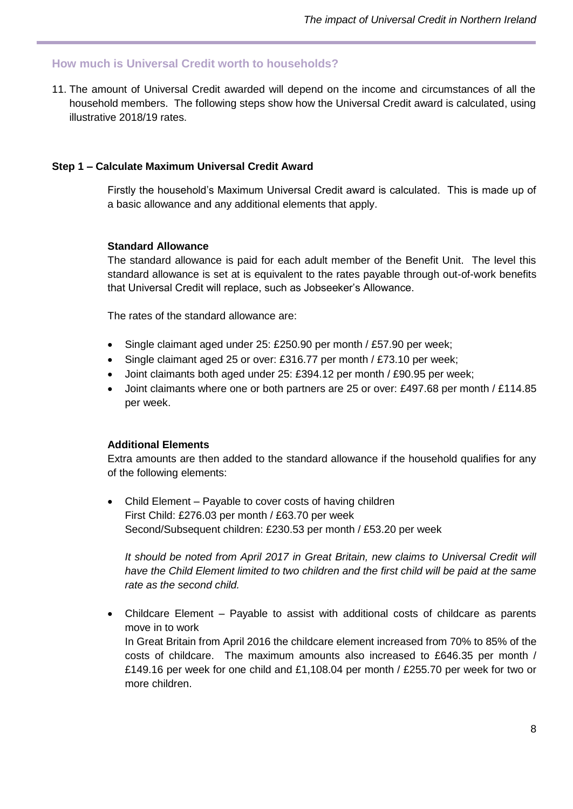#### <span id="page-7-0"></span>**How much is Universal Credit worth to households?**

11. The amount of Universal Credit awarded will depend on the income and circumstances of all the household members. The following steps show how the Universal Credit award is calculated, using illustrative 2018/19 rates.

#### **Step 1 – Calculate Maximum Universal Credit Award**

Firstly the household's Maximum Universal Credit award is calculated. This is made up of a basic allowance and any additional elements that apply.

#### **Standard Allowance**

The standard allowance is paid for each adult member of the Benefit Unit. The level this standard allowance is set at is equivalent to the rates payable through out-of-work benefits that Universal Credit will replace, such as Jobseeker's Allowance.

The rates of the standard allowance are:

- Single claimant aged under 25: £250.90 per month / £57.90 per week;
- Single claimant aged 25 or over: £316.77 per month / £73.10 per week;
- Joint claimants both aged under 25: £394.12 per month / £90.95 per week;
- Joint claimants where one or both partners are 25 or over: £497.68 per month / £114.85 per week.

#### **Additional Elements**

Extra amounts are then added to the standard allowance if the household qualifies for any of the following elements:

• Child Element – Payable to cover costs of having children First Child: £276.03 per month / £63.70 per week Second/Subsequent children: £230.53 per month / £53.20 per week

*It should be noted from April 2017 in Great Britain, new claims to Universal Credit will have the Child Element limited to two children and the first child will be paid at the same rate as the second child.*

 Childcare Element – Payable to assist with additional costs of childcare as parents move in to work In Great Britain from April 2016 the childcare element increased from 70% to 85% of the costs of childcare. The maximum amounts also increased to £646.35 per month / £149.16 per week for one child and £1,108.04 per month / £255.70 per week for two or more children.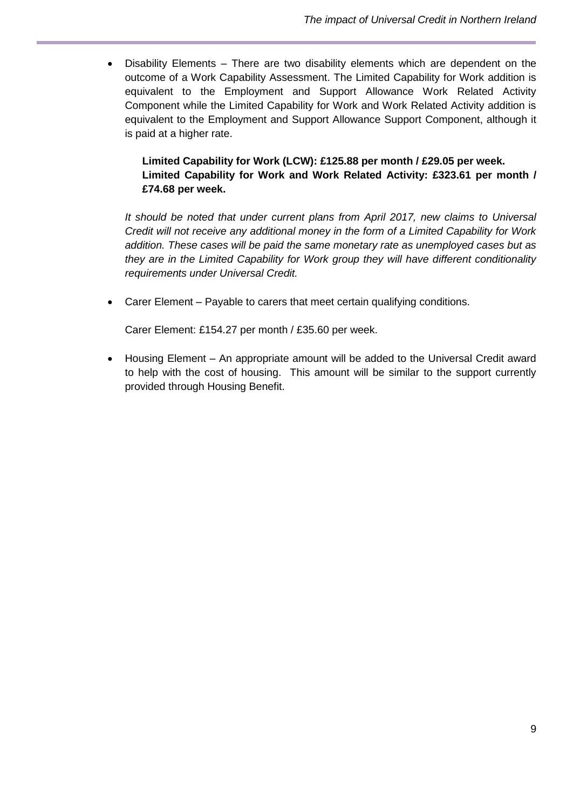Disability Elements – There are two disability elements which are dependent on the outcome of a Work Capability Assessment. The Limited Capability for Work addition is equivalent to the Employment and Support Allowance Work Related Activity Component while the Limited Capability for Work and Work Related Activity addition is equivalent to the Employment and Support Allowance Support Component, although it is paid at a higher rate.

### **Limited Capability for Work (LCW): £125.88 per month / £29.05 per week. Limited Capability for Work and Work Related Activity: £323.61 per month / £74.68 per week.**

*It should be noted that under current plans from April 2017, new claims to Universal Credit will not receive any additional money in the form of a Limited Capability for Work addition. These cases will be paid the same monetary rate as unemployed cases but as they are in the Limited Capability for Work group they will have different conditionality requirements under Universal Credit.*

Carer Element – Payable to carers that meet certain qualifying conditions.

Carer Element: £154.27 per month / £35.60 per week.

 Housing Element – An appropriate amount will be added to the Universal Credit award to help with the cost of housing. This amount will be similar to the support currently provided through Housing Benefit.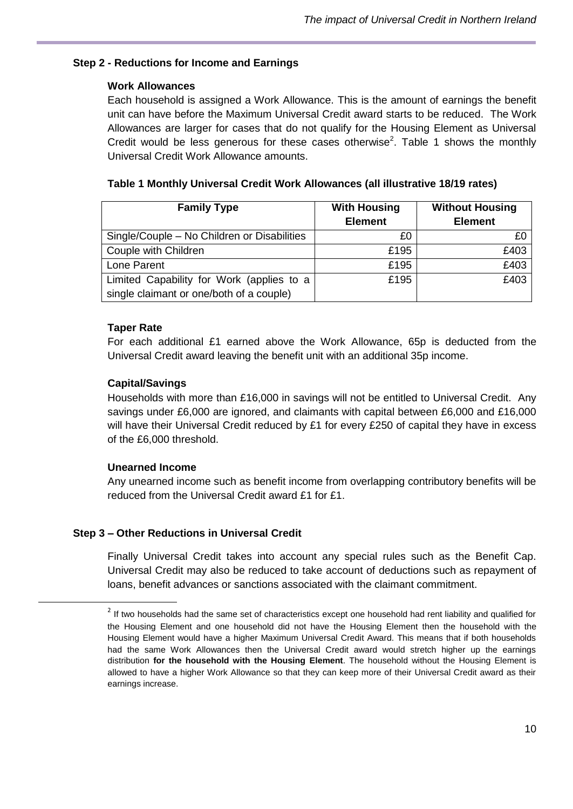#### **Step 2 - Reductions for Income and Earnings**

#### **Work Allowances**

Each household is assigned a Work Allowance. This is the amount of earnings the benefit unit can have before the Maximum Universal Credit award starts to be reduced. The Work Allowances are larger for cases that do not qualify for the Housing Element as Universal Credit would be less generous for these cases otherwise<sup>2</sup>. Table 1 shows the monthly Universal Credit Work Allowance amounts.

| <b>Family Type</b>                          | <b>With Housing</b><br><b>Element</b> | <b>Without Housing</b><br><b>Element</b> |  |
|---------------------------------------------|---------------------------------------|------------------------------------------|--|
| Single/Couple – No Children or Disabilities | £0                                    | £C                                       |  |
| Couple with Children                        | £195                                  | £403                                     |  |
| Lone Parent                                 | £195                                  | £403                                     |  |
| Limited Capability for Work (applies to a   | £195                                  | £403                                     |  |
| single claimant or one/both of a couple)    |                                       |                                          |  |

|  |  |  |  |  | Table 1 Monthly Universal Credit Work Allowances (all illustrative 18/19 rates) |  |
|--|--|--|--|--|---------------------------------------------------------------------------------|--|
|--|--|--|--|--|---------------------------------------------------------------------------------|--|

#### **Taper Rate**

For each additional  $£1$  earned above the Work Allowance, 65p is deducted from the Universal Credit award leaving the benefit unit with an additional 35p income.

#### **Capital/Savings**

Households with more than £16,000 in savings will not be entitled to Universal Credit. Any savings under £6,000 are ignored, and claimants with capital between £6,000 and £16,000 will have their Universal Credit reduced by £1 for every £250 of capital they have in excess of the £6,000 threshold.

#### **Unearned Income**

1

Any unearned income such as benefit income from overlapping contributory benefits will be reduced from the Universal Credit award £1 for £1.

#### **Step 3 – Other Reductions in Universal Credit**

Finally Universal Credit takes into account any special rules such as the Benefit Cap. Universal Credit may also be reduced to take account of deductions such as repayment of loans, benefit advances or sanctions associated with the claimant commitment.

 $2$  If two households had the same set of characteristics except one household had rent liability and qualified for the Housing Element and one household did not have the Housing Element then the household with the Housing Element would have a higher Maximum Universal Credit Award. This means that if both households had the same Work Allowances then the Universal Credit award would stretch higher up the earnings distribution **for the household with the Housing Element**. The household without the Housing Element is allowed to have a higher Work Allowance so that they can keep more of their Universal Credit award as their earnings increase.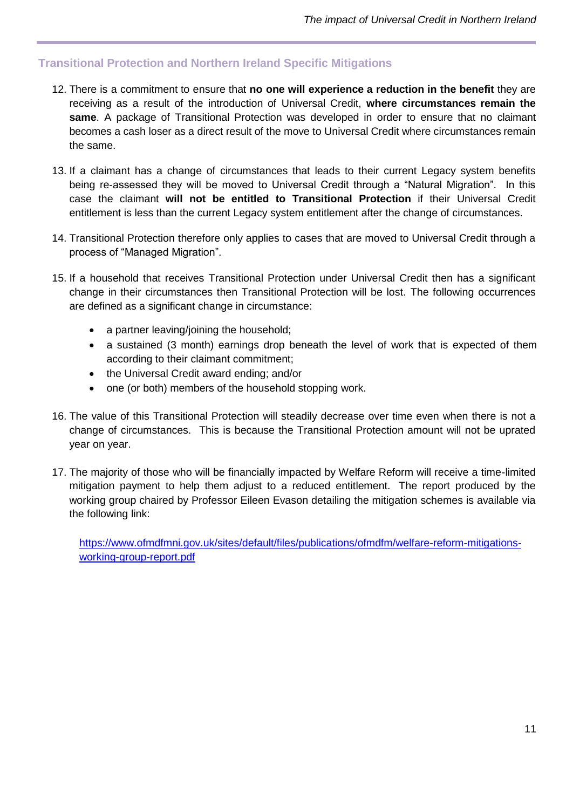# <span id="page-10-0"></span>**Transitional Protection and Northern Ireland Specific Mitigations**

- 12. There is a commitment to ensure that **no one will experience a reduction in the benefit** they are receiving as a result of the introduction of Universal Credit, **where circumstances remain the same**. A package of Transitional Protection was developed in order to ensure that no claimant becomes a cash loser as a direct result of the move to Universal Credit where circumstances remain the same.
- 13. If a claimant has a change of circumstances that leads to their current Legacy system benefits being re-assessed they will be moved to Universal Credit through a "Natural Migration". In this case the claimant **will not be entitled to Transitional Protection** if their Universal Credit entitlement is less than the current Legacy system entitlement after the change of circumstances.
- 14. Transitional Protection therefore only applies to cases that are moved to Universal Credit through a process of "Managed Migration".
- 15. If a household that receives Transitional Protection under Universal Credit then has a significant change in their circumstances then Transitional Protection will be lost. The following occurrences are defined as a significant change in circumstance:
	- a partner leaving/joining the household;
	- a sustained (3 month) earnings drop beneath the level of work that is expected of them according to their claimant commitment;
	- the Universal Credit award ending; and/or
	- one (or both) members of the household stopping work.
- 16. The value of this Transitional Protection will steadily decrease over time even when there is not a change of circumstances. This is because the Transitional Protection amount will not be uprated year on year.
- 17. The majority of those who will be financially impacted by Welfare Reform will receive a time-limited mitigation payment to help them adjust to a reduced entitlement. The report produced by the working group chaired by Professor Eileen Evason detailing the mitigation schemes is available via the following link:

[https://www.ofmdfmni.gov.uk/sites/default/files/publications/ofmdfm/welfare-reform-mitigations](https://www.ofmdfmni.gov.uk/sites/default/files/publications/ofmdfm/welfare-reform-mitigations-working-group-report.pdf)[working-group-report.pdf](https://www.ofmdfmni.gov.uk/sites/default/files/publications/ofmdfm/welfare-reform-mitigations-working-group-report.pdf)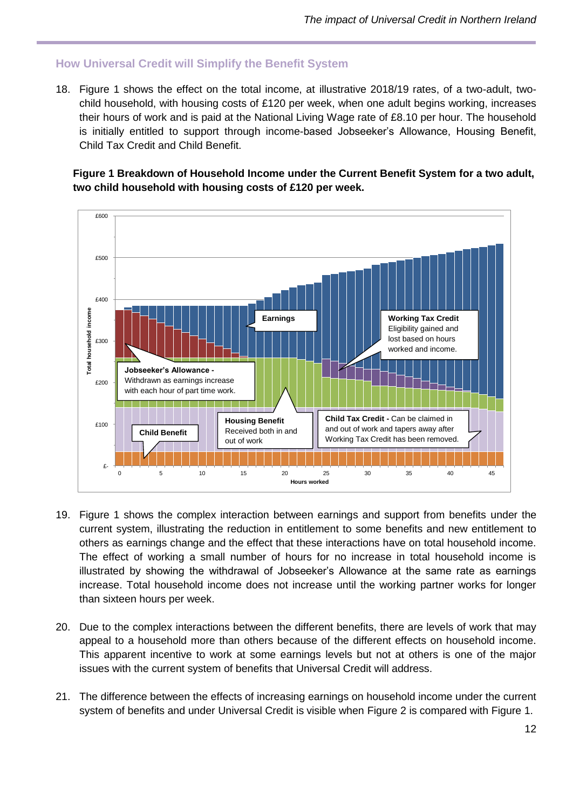# <span id="page-11-0"></span>**How Universal Credit will Simplify the Benefit System**

18. Figure 1 shows the effect on the total income, at illustrative 2018/19 rates, of a two-adult, twochild household, with housing costs of £120 per week, when one adult begins working, increases their hours of work and is paid at the National Living Wage rate of £8.10 per hour. The household is initially entitled to support through income-based Jobseeker's Allowance, Housing Benefit, Child Tax Credit and Child Benefit.

**Figure 1 Breakdown of Household Income under the Current Benefit System for a two adult, two child household with housing costs of £120 per week.**



- 19. Figure 1 shows the complex interaction between earnings and support from benefits under the current system, illustrating the reduction in entitlement to some benefits and new entitlement to others as earnings change and the effect that these interactions have on total household income. The effect of working a small number of hours for no increase in total household income is illustrated by showing the withdrawal of Jobseeker's Allowance at the same rate as earnings increase. Total household income does not increase until the working partner works for longer than sixteen hours per week.
- 20. Due to the complex interactions between the different benefits, there are levels of work that may appeal to a household more than others because of the different effects on household income. This apparent incentive to work at some earnings levels but not at others is one of the major issues with the current system of benefits that Universal Credit will address.
- 21. The difference between the effects of increasing earnings on household income under the current system of benefits and under Universal Credit is visible when Figure 2 is compared with Figure 1.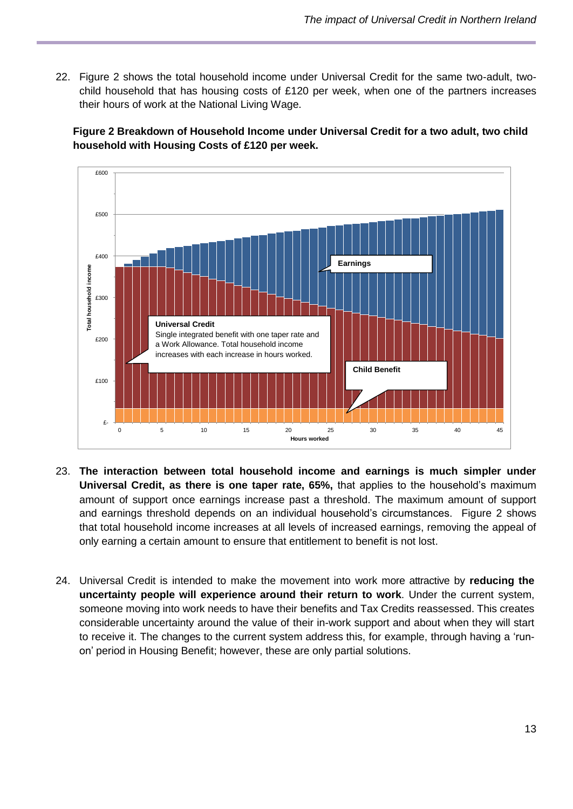22. Figure 2 shows the total household income under Universal Credit for the same two-adult, twochild household that has housing costs of £120 per week, when one of the partners increases their hours of work at the National Living Wage.

**Figure 2 Breakdown of Household Income under Universal Credit for a two adult, two child household with Housing Costs of £120 per week.**



- 23. **The interaction between total household income and earnings is much simpler under Universal Credit, as there is one taper rate, 65%,** that applies to the household's maximum amount of support once earnings increase past a threshold. The maximum amount of support and earnings threshold depends on an individual household's circumstances. Figure 2 shows that total household income increases at all levels of increased earnings, removing the appeal of only earning a certain amount to ensure that entitlement to benefit is not lost.
- 24. Universal Credit is intended to make the movement into work more attractive by **reducing the uncertainty people will experience around their return to work**. Under the current system, someone moving into work needs to have their benefits and Tax Credits reassessed. This creates considerable uncertainty around the value of their in-work support and about when they will start to receive it. The changes to the current system address this, for example, through having a 'runon' period in Housing Benefit; however, these are only partial solutions.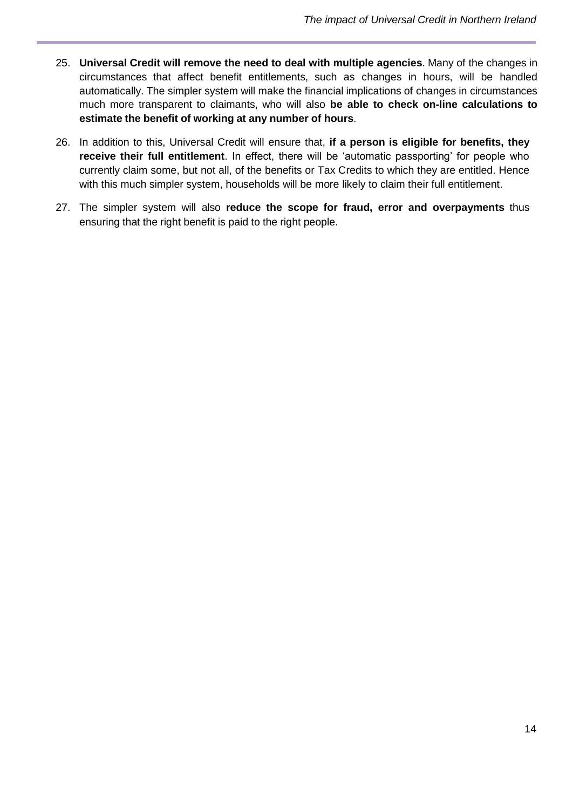- 25. **Universal Credit will remove the need to deal with multiple agencies**. Many of the changes in circumstances that affect benefit entitlements, such as changes in hours, will be handled automatically. The simpler system will make the financial implications of changes in circumstances much more transparent to claimants, who will also **be able to check on-line calculations to estimate the benefit of working at any number of hours**.
- 26. In addition to this, Universal Credit will ensure that, **if a person is eligible for benefits, they receive their full entitlement**. In effect, there will be 'automatic passporting' for people who currently claim some, but not all, of the benefits or Tax Credits to which they are entitled. Hence with this much simpler system, households will be more likely to claim their full entitlement.
- 27. The simpler system will also **reduce the scope for fraud, error and overpayments** thus ensuring that the right benefit is paid to the right people.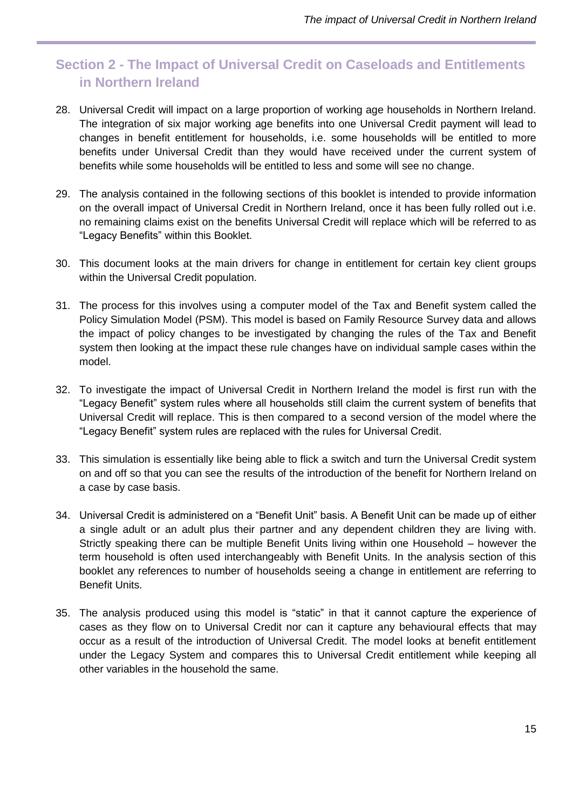# <span id="page-14-0"></span>**Section 2 - The Impact of Universal Credit on Caseloads and Entitlements in Northern Ireland**

- 28. Universal Credit will impact on a large proportion of working age households in Northern Ireland. The integration of six major working age benefits into one Universal Credit payment will lead to changes in benefit entitlement for households, i.e. some households will be entitled to more benefits under Universal Credit than they would have received under the current system of benefits while some households will be entitled to less and some will see no change.
- 29. The analysis contained in the following sections of this booklet is intended to provide information on the overall impact of Universal Credit in Northern Ireland, once it has been fully rolled out i.e. no remaining claims exist on the benefits Universal Credit will replace which will be referred to as "Legacy Benefits" within this Booklet.
- 30. This document looks at the main drivers for change in entitlement for certain key client groups within the Universal Credit population.
- 31. The process for this involves using a computer model of the Tax and Benefit system called the Policy Simulation Model (PSM). This model is based on Family Resource Survey data and allows the impact of policy changes to be investigated by changing the rules of the Tax and Benefit system then looking at the impact these rule changes have on individual sample cases within the model.
- 32. To investigate the impact of Universal Credit in Northern Ireland the model is first run with the "Legacy Benefit" system rules where all households still claim the current system of benefits that Universal Credit will replace. This is then compared to a second version of the model where the "Legacy Benefit" system rules are replaced with the rules for Universal Credit.
- 33. This simulation is essentially like being able to flick a switch and turn the Universal Credit system on and off so that you can see the results of the introduction of the benefit for Northern Ireland on a case by case basis.
- 34. Universal Credit is administered on a "Benefit Unit" basis. A Benefit Unit can be made up of either a single adult or an adult plus their partner and any dependent children they are living with. Strictly speaking there can be multiple Benefit Units living within one Household – however the term household is often used interchangeably with Benefit Units. In the analysis section of this booklet any references to number of households seeing a change in entitlement are referring to Benefit Units.
- 35. The analysis produced using this model is "static" in that it cannot capture the experience of cases as they flow on to Universal Credit nor can it capture any behavioural effects that may occur as a result of the introduction of Universal Credit. The model looks at benefit entitlement under the Legacy System and compares this to Universal Credit entitlement while keeping all other variables in the household the same.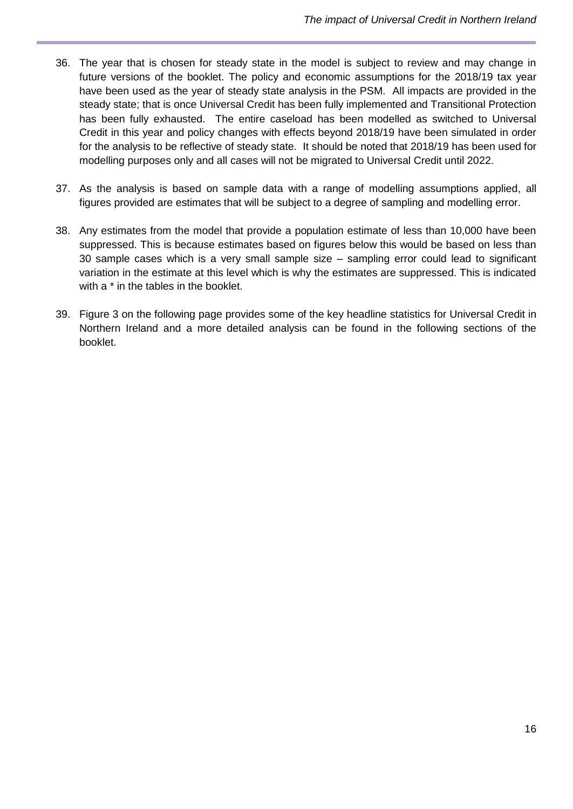- 36. The year that is chosen for steady state in the model is subject to review and may change in future versions of the booklet. The policy and economic assumptions for the 2018/19 tax year have been used as the year of steady state analysis in the PSM. All impacts are provided in the steady state; that is once Universal Credit has been fully implemented and Transitional Protection has been fully exhausted. The entire caseload has been modelled as switched to Universal Credit in this year and policy changes with effects beyond 2018/19 have been simulated in order for the analysis to be reflective of steady state. It should be noted that 2018/19 has been used for modelling purposes only and all cases will not be migrated to Universal Credit until 2022.
- 37. As the analysis is based on sample data with a range of modelling assumptions applied, all figures provided are estimates that will be subject to a degree of sampling and modelling error.
- 38. Any estimates from the model that provide a population estimate of less than 10,000 have been suppressed. This is because estimates based on figures below this would be based on less than 30 sample cases which is a very small sample size – sampling error could lead to significant variation in the estimate at this level which is why the estimates are suppressed. This is indicated with a  $*$  in the tables in the booklet.
- 39. Figure 3 on the following page provides some of the key headline statistics for Universal Credit in Northern Ireland and a more detailed analysis can be found in the following sections of the booklet.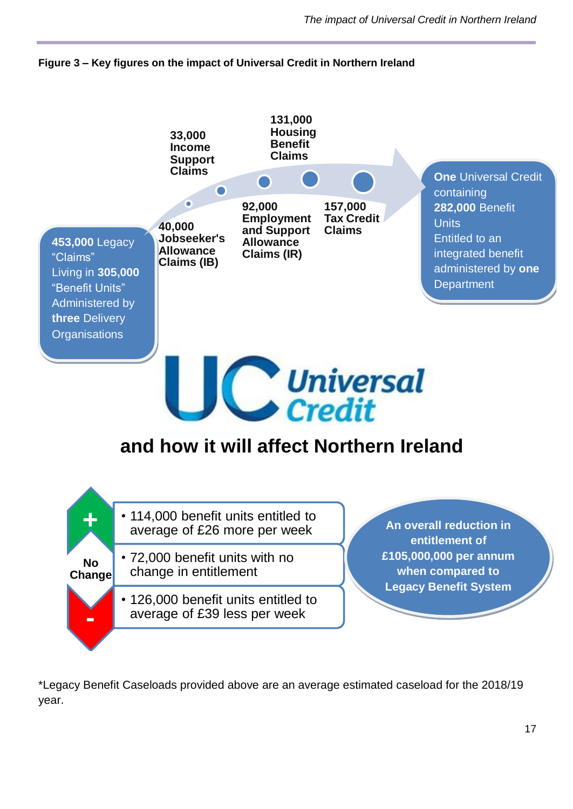



\*Legacy Benefit Caseloads provided above are an average estimated caseload for the 2018/19 year.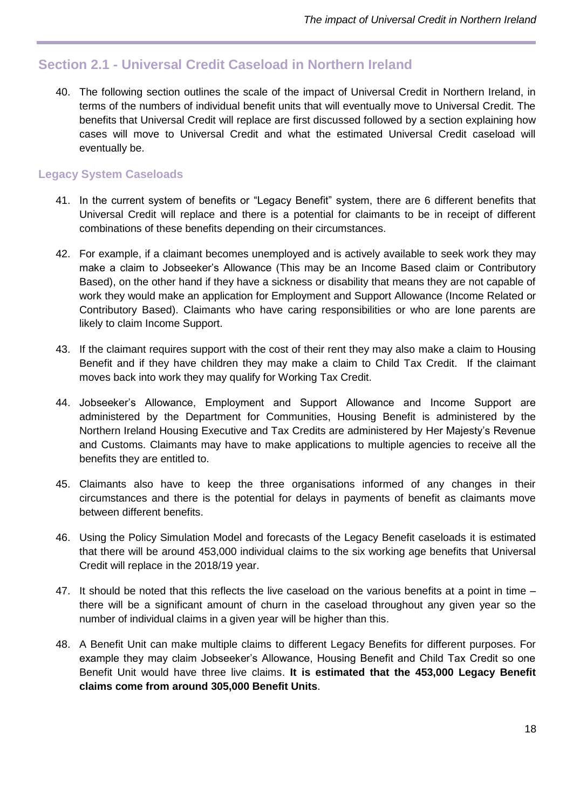# <span id="page-17-0"></span>**Section 2.1 - Universal Credit Caseload in Northern Ireland**

40. The following section outlines the scale of the impact of Universal Credit in Northern Ireland, in terms of the numbers of individual benefit units that will eventually move to Universal Credit. The benefits that Universal Credit will replace are first discussed followed by a section explaining how cases will move to Universal Credit and what the estimated Universal Credit caseload will eventually be.

### <span id="page-17-1"></span>**Legacy System Caseloads**

- 41. In the current system of benefits or "Legacy Benefit" system, there are 6 different benefits that Universal Credit will replace and there is a potential for claimants to be in receipt of different combinations of these benefits depending on their circumstances.
- 42. For example, if a claimant becomes unemployed and is actively available to seek work they may make a claim to Jobseeker's Allowance (This may be an Income Based claim or Contributory Based), on the other hand if they have a sickness or disability that means they are not capable of work they would make an application for Employment and Support Allowance (Income Related or Contributory Based). Claimants who have caring responsibilities or who are lone parents are likely to claim Income Support.
- 43. If the claimant requires support with the cost of their rent they may also make a claim to Housing Benefit and if they have children they may make a claim to Child Tax Credit. If the claimant moves back into work they may qualify for Working Tax Credit.
- 44. Jobseeker's Allowance, Employment and Support Allowance and Income Support are administered by the Department for Communities, Housing Benefit is administered by the Northern Ireland Housing Executive and Tax Credits are administered by Her Majesty's Revenue and Customs. Claimants may have to make applications to multiple agencies to receive all the benefits they are entitled to.
- 45. Claimants also have to keep the three organisations informed of any changes in their circumstances and there is the potential for delays in payments of benefit as claimants move between different benefits.
- 46. Using the Policy Simulation Model and forecasts of the Legacy Benefit caseloads it is estimated that there will be around 453,000 individual claims to the six working age benefits that Universal Credit will replace in the 2018/19 year.
- 47. It should be noted that this reflects the live caseload on the various benefits at a point in time there will be a significant amount of churn in the caseload throughout any given year so the number of individual claims in a given year will be higher than this.
- 48. A Benefit Unit can make multiple claims to different Legacy Benefits for different purposes. For example they may claim Jobseeker's Allowance, Housing Benefit and Child Tax Credit so one Benefit Unit would have three live claims. **It is estimated that the 453,000 Legacy Benefit claims come from around 305,000 Benefit Units**.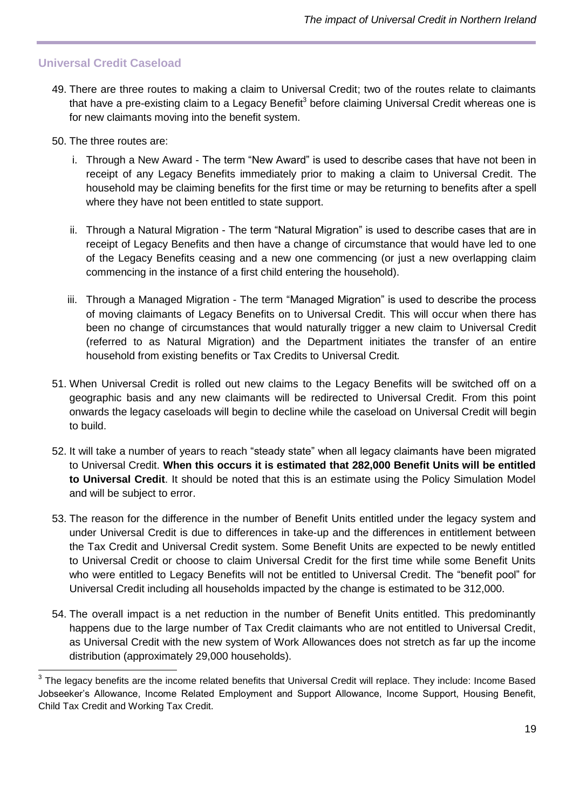#### <span id="page-18-0"></span>**Universal Credit Caseload**

- 49. There are three routes to making a claim to Universal Credit; two of the routes relate to claimants that have a pre-existing claim to a Legacy Benefit $^3$  before claiming Universal Credit whereas one is for new claimants moving into the benefit system.
- 50. The three routes are:
	- i. Through a New Award The term "New Award" is used to describe cases that have not been in receipt of any Legacy Benefits immediately prior to making a claim to Universal Credit. The household may be claiming benefits for the first time or may be returning to benefits after a spell where they have not been entitled to state support.
	- ii. Through a Natural Migration The term "Natural Migration" is used to describe cases that are in receipt of Legacy Benefits and then have a change of circumstance that would have led to one of the Legacy Benefits ceasing and a new one commencing (or just a new overlapping claim commencing in the instance of a first child entering the household).
	- iii. Through a Managed Migration The term "Managed Migration" is used to describe the process of moving claimants of Legacy Benefits on to Universal Credit. This will occur when there has been no change of circumstances that would naturally trigger a new claim to Universal Credit (referred to as Natural Migration) and the Department initiates the transfer of an entire household from existing benefits or Tax Credits to Universal Credit*.*
- 51. When Universal Credit is rolled out new claims to the Legacy Benefits will be switched off on a geographic basis and any new claimants will be redirected to Universal Credit. From this point onwards the legacy caseloads will begin to decline while the caseload on Universal Credit will begin to build.
- 52. It will take a number of years to reach "steady state" when all legacy claimants have been migrated to Universal Credit. **When this occurs it is estimated that 282,000 Benefit Units will be entitled to Universal Credit**. It should be noted that this is an estimate using the Policy Simulation Model and will be subject to error.
- 53. The reason for the difference in the number of Benefit Units entitled under the legacy system and under Universal Credit is due to differences in take-up and the differences in entitlement between the Tax Credit and Universal Credit system. Some Benefit Units are expected to be newly entitled to Universal Credit or choose to claim Universal Credit for the first time while some Benefit Units who were entitled to Legacy Benefits will not be entitled to Universal Credit. The "benefit pool" for Universal Credit including all households impacted by the change is estimated to be 312,000.
- 54. The overall impact is a net reduction in the number of Benefit Units entitled. This predominantly happens due to the large number of Tax Credit claimants who are not entitled to Universal Credit, as Universal Credit with the new system of Work Allowances does not stretch as far up the income distribution (approximately 29,000 households).

 3 The legacy benefits are the income related benefits that Universal Credit will replace. They include: Income Based Jobseeker's Allowance, Income Related Employment and Support Allowance, Income Support, Housing Benefit, Child Tax Credit and Working Tax Credit.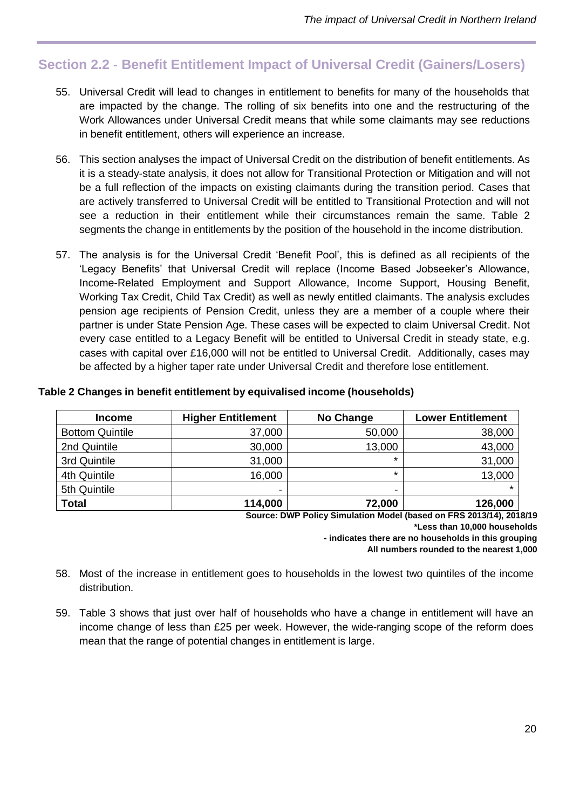# <span id="page-19-0"></span>**Section 2.2 - Benefit Entitlement Impact of Universal Credit (Gainers/Losers)**

- 55. Universal Credit will lead to changes in entitlement to benefits for many of the households that are impacted by the change. The rolling of six benefits into one and the restructuring of the Work Allowances under Universal Credit means that while some claimants may see reductions in benefit entitlement, others will experience an increase.
- 56. This section analyses the impact of Universal Credit on the distribution of benefit entitlements. As it is a steady-state analysis, it does not allow for Transitional Protection or Mitigation and will not be a full reflection of the impacts on existing claimants during the transition period. Cases that are actively transferred to Universal Credit will be entitled to Transitional Protection and will not see a reduction in their entitlement while their circumstances remain the same. Table 2 segments the change in entitlements by the position of the household in the income distribution.
- 57. The analysis is for the Universal Credit 'Benefit Pool', this is defined as all recipients of the 'Legacy Benefits' that Universal Credit will replace (Income Based Jobseeker's Allowance, Income-Related Employment and Support Allowance, Income Support, Housing Benefit, Working Tax Credit, Child Tax Credit) as well as newly entitled claimants. The analysis excludes pension age recipients of Pension Credit, unless they are a member of a couple where their partner is under State Pension Age. These cases will be expected to claim Universal Credit. Not every case entitled to a Legacy Benefit will be entitled to Universal Credit in steady state, e.g. cases with capital over £16,000 will not be entitled to Universal Credit. Additionally, cases may be affected by a higher taper rate under Universal Credit and therefore lose entitlement.

| <b>Income</b>          | <b>Higher Entitlement</b> | No Change                | <b>Lower Entitlement</b> |
|------------------------|---------------------------|--------------------------|--------------------------|
| <b>Bottom Quintile</b> | 37,000                    | 50,000                   | 38,000                   |
| 2nd Quintile           | 30,000                    | 13,000                   | 43,000                   |
| 3rd Quintile           | 31,000                    | $\star$                  | 31,000                   |
| 4th Quintile           | 16,000                    | $\star$                  | 13,000                   |
| 5th Quintile           | ٠                         | $\overline{\phantom{a}}$ | $\star$                  |
| <b>Total</b>           | 114,000                   | 72,000                   | 126,000                  |

#### **Table 2 Changes in benefit entitlement by equivalised income (households)**

**Source: DWP Policy Simulation Model (based on FRS 2013/14), 2018/19 \*Less than 10,000 households - indicates there are no households in this grouping**

**All numbers rounded to the nearest 1,000**

- 58. Most of the increase in entitlement goes to households in the lowest two quintiles of the income distribution.
- 59. Table 3 shows that just over half of households who have a change in entitlement will have an income change of less than £25 per week. However, the wide-ranging scope of the reform does mean that the range of potential changes in entitlement is large.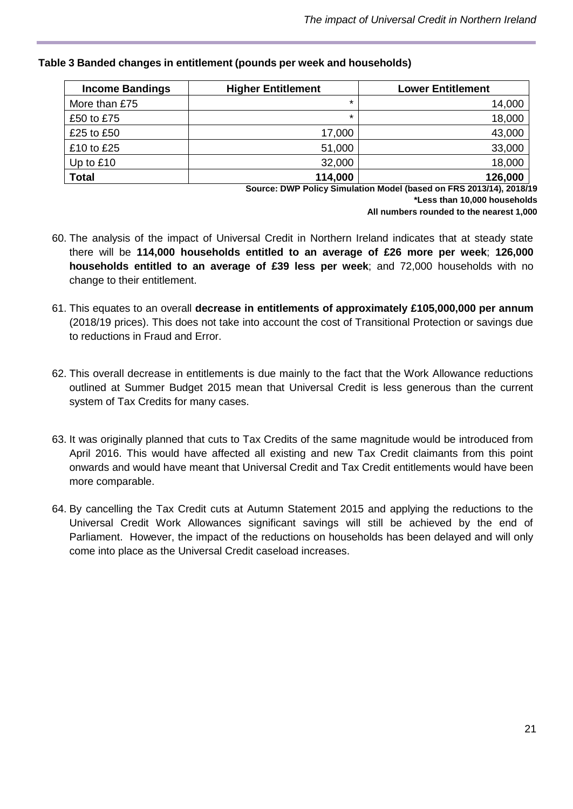| <b>Income Bandings</b> | <b>Higher Entitlement</b> | <b>Lower Entitlement</b> |
|------------------------|---------------------------|--------------------------|
| More than £75          | $\star$                   | 14,000                   |
| £50 to £75             | $\star$                   | 18,000                   |
| £25 to £50             | 17,000                    | 43,000                   |
| £10 to £25             | 51,000                    | 33,000                   |
| Up to $£10$            | 32,000                    | 18,000                   |
| <b>Total</b>           | 114,000                   | 126,000                  |

#### **Table 3 Banded changes in entitlement (pounds per week and households)**

**Source: DWP Policy Simulation Model (based on FRS 2013/14), 2018/19 \*Less than 10,000 households**

**All numbers rounded to the nearest 1,000**

- 60. The analysis of the impact of Universal Credit in Northern Ireland indicates that at steady state there will be **114,000 households entitled to an average of £26 more per week**; **126,000 households entitled to an average of £39 less per week**; and 72,000 households with no change to their entitlement.
- 61. This equates to an overall **decrease in entitlements of approximately £105,000,000 per annum** (2018/19 prices). This does not take into account the cost of Transitional Protection or savings due to reductions in Fraud and Error.
- 62. This overall decrease in entitlements is due mainly to the fact that the Work Allowance reductions outlined at Summer Budget 2015 mean that Universal Credit is less generous than the current system of Tax Credits for many cases.
- 63. It was originally planned that cuts to Tax Credits of the same magnitude would be introduced from April 2016. This would have affected all existing and new Tax Credit claimants from this point onwards and would have meant that Universal Credit and Tax Credit entitlements would have been more comparable.
- 64. By cancelling the Tax Credit cuts at Autumn Statement 2015 and applying the reductions to the Universal Credit Work Allowances significant savings will still be achieved by the end of Parliament. However, the impact of the reductions on households has been delayed and will only come into place as the Universal Credit caseload increases.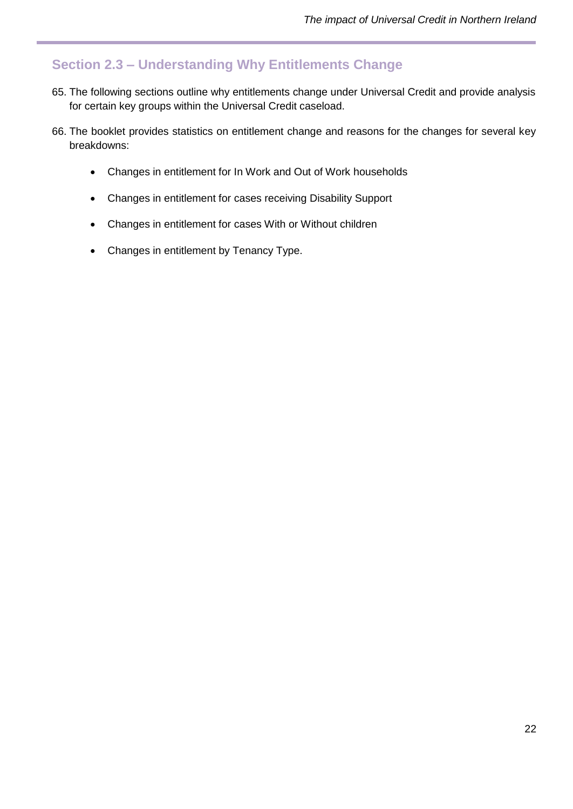# <span id="page-21-0"></span>**Section 2.3 – Understanding Why Entitlements Change**

- 65. The following sections outline why entitlements change under Universal Credit and provide analysis for certain key groups within the Universal Credit caseload.
- 66. The booklet provides statistics on entitlement change and reasons for the changes for several key breakdowns:
	- Changes in entitlement for In Work and Out of Work households
	- Changes in entitlement for cases receiving Disability Support
	- Changes in entitlement for cases With or Without children
	- Changes in entitlement by Tenancy Type.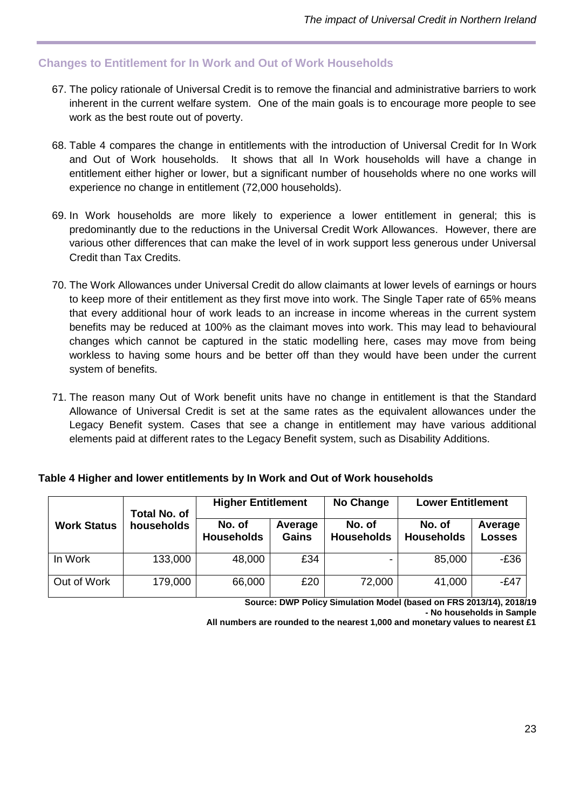# <span id="page-22-0"></span>**Changes to Entitlement for In Work and Out of Work Households**

- 67. The policy rationale of Universal Credit is to remove the financial and administrative barriers to work inherent in the current welfare system. One of the main goals is to encourage more people to see work as the best route out of poverty.
- 68. Table 4 compares the change in entitlements with the introduction of Universal Credit for In Work and Out of Work households. It shows that all In Work households will have a change in entitlement either higher or lower, but a significant number of households where no one works will experience no change in entitlement (72,000 households).
- 69. In Work households are more likely to experience a lower entitlement in general; this is predominantly due to the reductions in the Universal Credit Work Allowances. However, there are various other differences that can make the level of in work support less generous under Universal Credit than Tax Credits.
- 70. The Work Allowances under Universal Credit do allow claimants at lower levels of earnings or hours to keep more of their entitlement as they first move into work. The Single Taper rate of 65% means that every additional hour of work leads to an increase in income whereas in the current system benefits may be reduced at 100% as the claimant moves into work. This may lead to behavioural changes which cannot be captured in the static modelling here, cases may move from being workless to having some hours and be better off than they would have been under the current system of benefits.
- 71. The reason many Out of Work benefit units have no change in entitlement is that the Standard Allowance of Universal Credit is set at the same rates as the equivalent allowances under the Legacy Benefit system. Cases that see a change in entitlement may have various additional elements paid at different rates to the Legacy Benefit system, such as Disability Additions.

|                    | <b>Total No. of</b> | <b>Higher Entitlement</b>   |                         | <b>No Change</b>            | <b>Lower Entitlement</b>    |                   |
|--------------------|---------------------|-----------------------------|-------------------------|-----------------------------|-----------------------------|-------------------|
| <b>Work Status</b> | households          | No. of<br><b>Households</b> | Average<br><b>Gains</b> | No. of<br><b>Households</b> | No. of<br><b>Households</b> | Average<br>Losses |
| In Work            | 133,000             | 48,000                      | £34                     |                             | 85,000                      | $-E36$            |
| Out of Work        | 179,000             | 66,000                      | £20                     | 72,000                      | 41,000                      | $-E47$            |

**Source: DWP Policy Simulation Model (based on FRS 2013/14), 2018/19 - No households in Sample**

**All numbers are rounded to the nearest 1,000 and monetary values to nearest £1**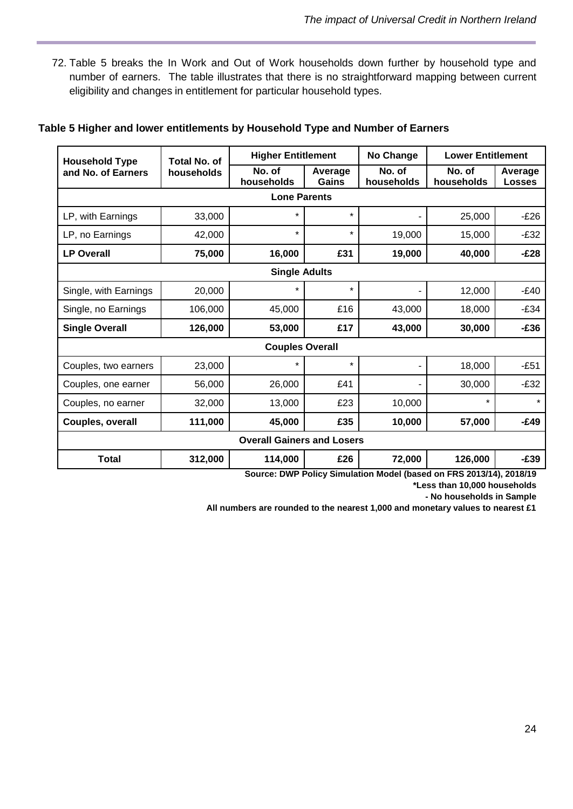72. Table 5 breaks the In Work and Out of Work households down further by household type and number of earners. The table illustrates that there is no straightforward mapping between current eligibility and changes in entitlement for particular household types.

#### **Table 5 Higher and lower entitlements by Household Type and Number of Earners**

| <b>Household Type</b> | <b>Total No. of</b> | <b>Higher Entitlement</b>                 |                  | No Change                  | <b>Lower Entitlement</b>        |                          |
|-----------------------|---------------------|-------------------------------------------|------------------|----------------------------|---------------------------------|--------------------------|
| and No. of Earners    | households          | No. of<br>households                      | Average<br>Gains | No. of<br>households       | No. of<br>households            | Average<br><b>Losses</b> |
|                       |                     | <b>Lone Parents</b>                       |                  |                            |                                 |                          |
| LP, with Earnings     | 33,000              | $\star$                                   | $\star$          |                            | 25,000                          | $-E26$                   |
| LP, no Earnings       | 42,000              | $\star$                                   | $^{\star}$       | 19,000                     | 15,000                          | $-E32$                   |
| <b>LP Overall</b>     | 75,000              | 16,000                                    | £31              | 19,000                     | 40,000                          | $-E28$                   |
|                       |                     | <b>Single Adults</b>                      |                  |                            |                                 |                          |
| Single, with Earnings | 20,000              | $\star$                                   | $\star$          |                            | 12,000                          | $-E40$                   |
| Single, no Earnings   | 106,000             | 45,000                                    | £16              | 43,000                     | 18,000                          | $-E34$                   |
| <b>Single Overall</b> | 126,000             | 53,000                                    | £17              | 43,000                     | 30,000                          | $-E36$                   |
|                       |                     | <b>Couples Overall</b>                    |                  |                            |                                 |                          |
| Couples, two earners  | 23,000              |                                           | $\star$          |                            | 18,000                          | $-E51$                   |
| Couples, one earner   | 56,000              | 26,000                                    | £41              |                            | 30,000                          | $-E32$                   |
| Couples, no earner    | 32,000              | 13,000                                    | £23              | 10,000                     | $\star$                         | $\star$                  |
| Couples, overall      | 111,000             | 45,000                                    | £35              | 10,000                     | 57,000                          | $-E49$                   |
|                       |                     | <b>Overall Gainers and Losers</b>         |                  |                            |                                 |                          |
| <b>Total</b>          | 312,000             | 114,000<br>Course, DIMD Deliau Cimulation | £26              | 72,000<br>Model (became an | 126,000<br>FBC 0040/44\ 0040/40 | $-£39$                   |

**Source: DWP Policy Simulation Model (based on FRS 2013/14), 2018/19**

**\*Less than 10,000 households**

**- No households in Sample**

**All numbers are rounded to the nearest 1,000 and monetary values to nearest £1**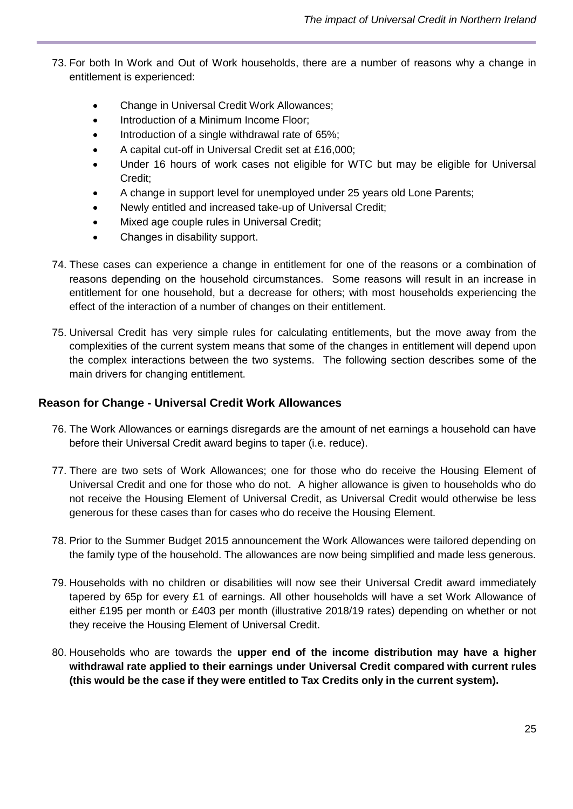- 73. For both In Work and Out of Work households, there are a number of reasons why a change in entitlement is experienced:
	- Change in Universal Credit Work Allowances;
	- Introduction of a Minimum Income Floor;
	- Introduction of a single withdrawal rate of 65%;
	- A capital cut-off in Universal Credit set at £16,000;
	- Under 16 hours of work cases not eligible for WTC but may be eligible for Universal Credit;
	- A change in support level for unemployed under 25 years old Lone Parents;
	- Newly entitled and increased take-up of Universal Credit;
	- Mixed age couple rules in Universal Credit;
	- Changes in disability support.
- 74. These cases can experience a change in entitlement for one of the reasons or a combination of reasons depending on the household circumstances. Some reasons will result in an increase in entitlement for one household, but a decrease for others; with most households experiencing the effect of the interaction of a number of changes on their entitlement.
- 75. Universal Credit has very simple rules for calculating entitlements, but the move away from the complexities of the current system means that some of the changes in entitlement will depend upon the complex interactions between the two systems. The following section describes some of the main drivers for changing entitlement.

#### **Reason for Change - Universal Credit Work Allowances**

- 76. The Work Allowances or earnings disregards are the amount of net earnings a household can have before their Universal Credit award begins to taper (i.e. reduce).
- 77. There are two sets of Work Allowances; one for those who do receive the Housing Element of Universal Credit and one for those who do not. A higher allowance is given to households who do not receive the Housing Element of Universal Credit, as Universal Credit would otherwise be less generous for these cases than for cases who do receive the Housing Element.
- 78. Prior to the Summer Budget 2015 announcement the Work Allowances were tailored depending on the family type of the household. The allowances are now being simplified and made less generous.
- 79. Households with no children or disabilities will now see their Universal Credit award immediately tapered by 65p for every £1 of earnings. All other households will have a set Work Allowance of either £195 per month or £403 per month (illustrative 2018/19 rates) depending on whether or not they receive the Housing Element of Universal Credit.
- 80. Households who are towards the **upper end of the income distribution may have a higher withdrawal rate applied to their earnings under Universal Credit compared with current rules (this would be the case if they were entitled to Tax Credits only in the current system).**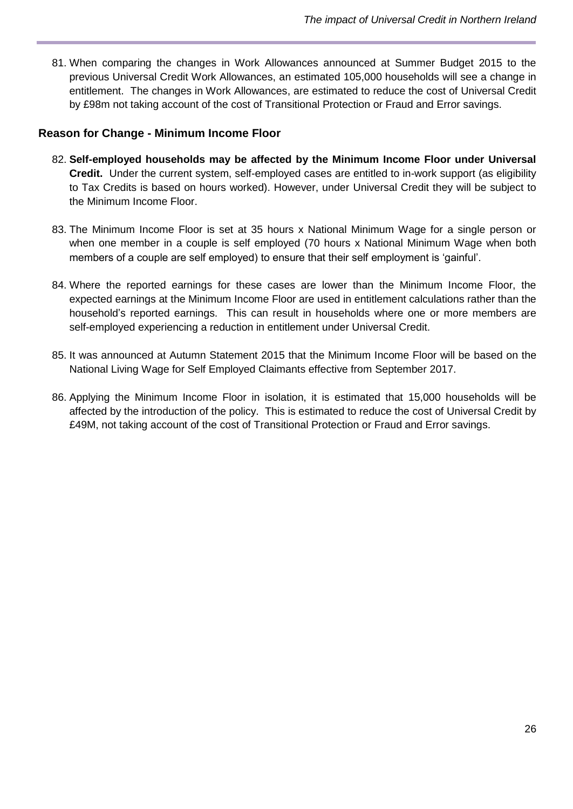81. When comparing the changes in Work Allowances announced at Summer Budget 2015 to the previous Universal Credit Work Allowances, an estimated 105,000 households will see a change in entitlement. The changes in Work Allowances, are estimated to reduce the cost of Universal Credit by £98m not taking account of the cost of Transitional Protection or Fraud and Error savings.

# **Reason for Change - Minimum Income Floor**

- 82. **Self-employed households may be affected by the Minimum Income Floor under Universal Credit.** Under the current system, self-employed cases are entitled to in-work support (as eligibility to Tax Credits is based on hours worked). However, under Universal Credit they will be subject to the Minimum Income Floor.
- 83. The Minimum Income Floor is set at 35 hours x National Minimum Wage for a single person or when one member in a couple is self employed (70 hours x National Minimum Wage when both members of a couple are self employed) to ensure that their self employment is 'gainful'.
- 84. Where the reported earnings for these cases are lower than the Minimum Income Floor, the expected earnings at the Minimum Income Floor are used in entitlement calculations rather than the household's reported earnings. This can result in households where one or more members are self-employed experiencing a reduction in entitlement under Universal Credit.
- 85. It was announced at Autumn Statement 2015 that the Minimum Income Floor will be based on the National Living Wage for Self Employed Claimants effective from September 2017.
- 86. Applying the Minimum Income Floor in isolation, it is estimated that 15,000 households will be affected by the introduction of the policy. This is estimated to reduce the cost of Universal Credit by £49M, not taking account of the cost of Transitional Protection or Fraud and Error savings.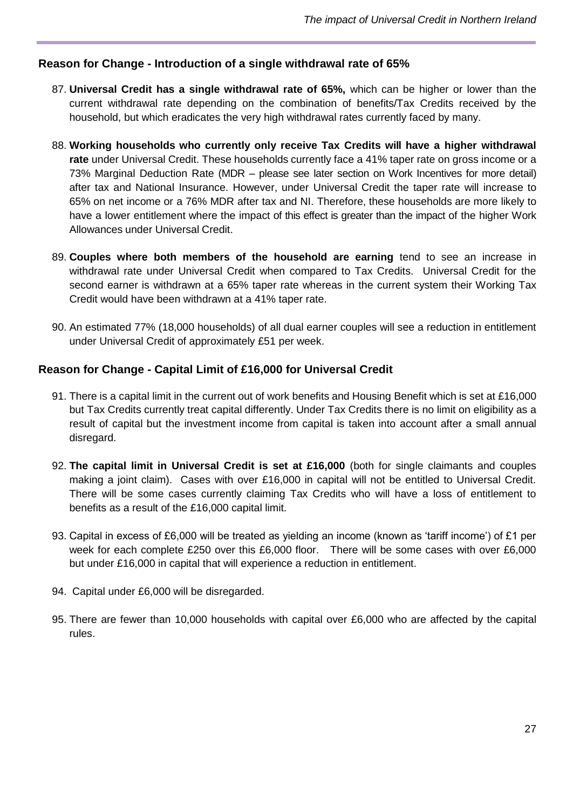#### **Reason for Change - Introduction of a single withdrawal rate of 65%**

- 87. **Universal Credit has a single withdrawal rate of 65%,** which can be higher or lower than the current withdrawal rate depending on the combination of benefits/Tax Credits received by the household, but which eradicates the very high withdrawal rates currently faced by many.
- 88. **Working households who currently only receive Tax Credits will have a higher withdrawal rate** under Universal Credit. These households currently face a 41% taper rate on gross income or a 73% Marginal Deduction Rate (MDR – please see later section on Work Incentives for more detail) after tax and National Insurance. However, under Universal Credit the taper rate will increase to 65% on net income or a 76% MDR after tax and NI. Therefore, these households are more likely to have a lower entitlement where the impact of this effect is greater than the impact of the higher Work Allowances under Universal Credit.
- 89. **Couples where both members of the household are earning** tend to see an increase in withdrawal rate under Universal Credit when compared to Tax Credits. Universal Credit for the second earner is withdrawn at a 65% taper rate whereas in the current system their Working Tax Credit would have been withdrawn at a 41% taper rate.
- 90. An estimated 77% (18,000 households) of all dual earner couples will see a reduction in entitlement under Universal Credit of approximately £51 per week.

#### **Reason for Change - Capital Limit of £16,000 for Universal Credit**

- 91. There is a capital limit in the current out of work benefits and Housing Benefit which is set at £16,000 but Tax Credits currently treat capital differently. Under Tax Credits there is no limit on eligibility as a result of capital but the investment income from capital is taken into account after a small annual disregard.
- 92. **The capital limit in Universal Credit is set at £16,000** (both for single claimants and couples making a joint claim). Cases with over £16,000 in capital will not be entitled to Universal Credit. There will be some cases currently claiming Tax Credits who will have a loss of entitlement to benefits as a result of the £16,000 capital limit.
- 93. Capital in excess of £6,000 will be treated as yielding an income (known as 'tariff income') of £1 per week for each complete £250 over this £6,000 floor. There will be some cases with over £6,000 but under £16,000 in capital that will experience a reduction in entitlement.
- 94. Capital under £6,000 will be disregarded.
- 95. There are fewer than 10,000 households with capital over £6,000 who are affected by the capital rules.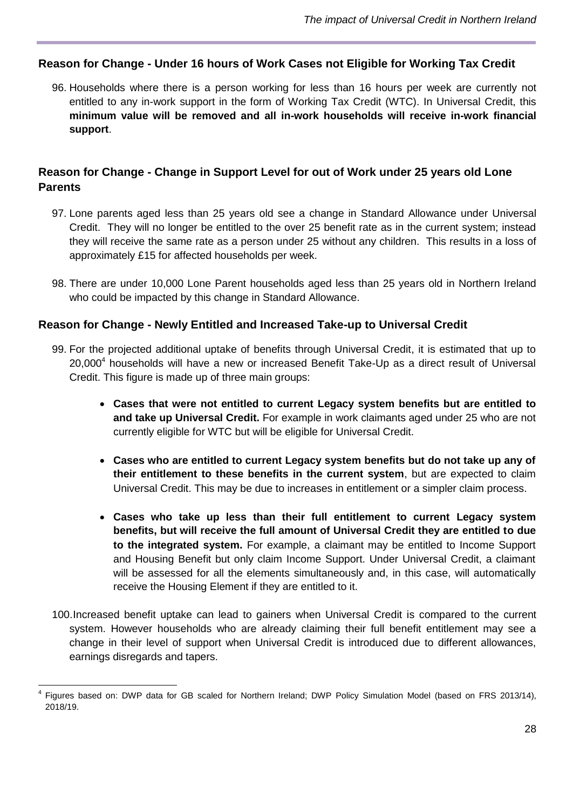### **Reason for Change - Under 16 hours of Work Cases not Eligible for Working Tax Credit**

96. Households where there is a person working for less than 16 hours per week are currently not entitled to any in-work support in the form of Working Tax Credit (WTC). In Universal Credit, this **minimum value will be removed and all in-work households will receive in-work financial support**.

# **Reason for Change - Change in Support Level for out of Work under 25 years old Lone Parents**

- 97. Lone parents aged less than 25 years old see a change in Standard Allowance under Universal Credit. They will no longer be entitled to the over 25 benefit rate as in the current system; instead they will receive the same rate as a person under 25 without any children. This results in a loss of approximately £15 for affected households per week.
- 98. There are under 10,000 Lone Parent households aged less than 25 years old in Northern Ireland who could be impacted by this change in Standard Allowance.

#### **Reason for Change - Newly Entitled and Increased Take-up to Universal Credit**

- 99. For the projected additional uptake of benefits through Universal Credit, it is estimated that up to 20,000<sup>4</sup> households will have a new or increased Benefit Take-Up as a direct result of Universal Credit. This figure is made up of three main groups:
	- **Cases that were not entitled to current Legacy system benefits but are entitled to and take up Universal Credit.** For example in work claimants aged under 25 who are not currently eligible for WTC but will be eligible for Universal Credit.
	- **Cases who are entitled to current Legacy system benefits but do not take up any of their entitlement to these benefits in the current system**, but are expected to claim Universal Credit. This may be due to increases in entitlement or a simpler claim process.
	- **Cases who take up less than their full entitlement to current Legacy system benefits, but will receive the full amount of Universal Credit they are entitled to due to the integrated system.** For example, a claimant may be entitled to Income Support and Housing Benefit but only claim Income Support. Under Universal Credit, a claimant will be assessed for all the elements simultaneously and, in this case, will automatically receive the Housing Element if they are entitled to it.
- 100.Increased benefit uptake can lead to gainers when Universal Credit is compared to the current system. However households who are already claiming their full benefit entitlement may see a change in their level of support when Universal Credit is introduced due to different allowances, earnings disregards and tapers.

 $\overline{1}$ 4 Figures based on: DWP data for GB scaled for Northern Ireland; DWP Policy Simulation Model (based on FRS 2013/14), 2018/19.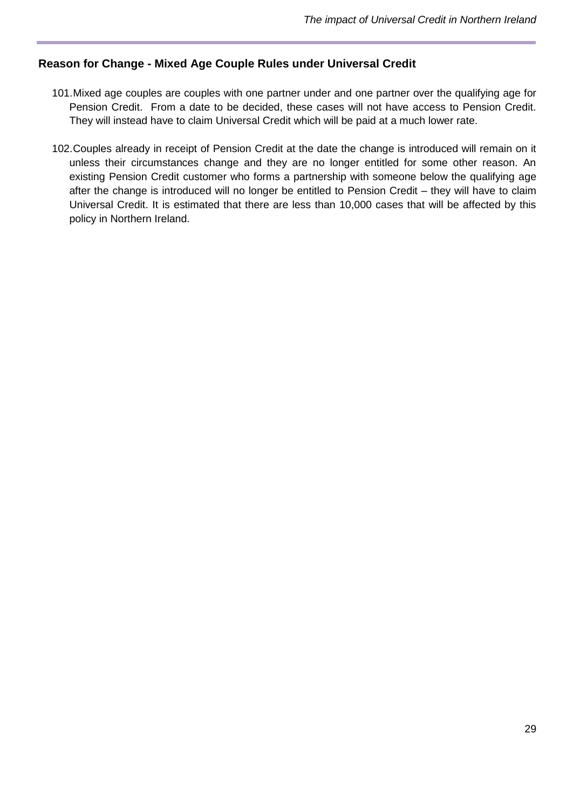### **Reason for Change - Mixed Age Couple Rules under Universal Credit**

- 101.Mixed age couples are couples with one partner under and one partner over the qualifying age for Pension Credit. From a date to be decided, these cases will not have access to Pension Credit. They will instead have to claim Universal Credit which will be paid at a much lower rate.
- 102.Couples already in receipt of Pension Credit at the date the change is introduced will remain on it unless their circumstances change and they are no longer entitled for some other reason. An existing Pension Credit customer who forms a partnership with someone below the qualifying age after the change is introduced will no longer be entitled to Pension Credit – they will have to claim Universal Credit. It is estimated that there are less than 10,000 cases that will be affected by this policy in Northern Ireland.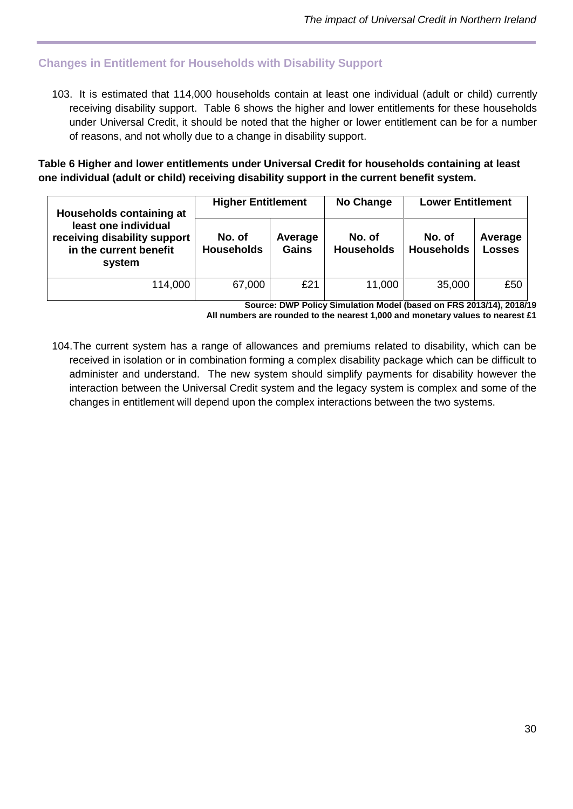# <span id="page-29-0"></span>**Changes in Entitlement for Households with Disability Support**

103. It is estimated that 114,000 households contain at least one individual (adult or child) currently receiving disability support. Table 6 shows the higher and lower entitlements for these households under Universal Credit, it should be noted that the higher or lower entitlement can be for a number of reasons, and not wholly due to a change in disability support.

**Table 6 Higher and lower entitlements under Universal Credit for households containing at least one individual (adult or child) receiving disability support in the current benefit system.**

| Households containing at                                                                 | <b>Higher Entitlement</b>   |                         | No Change                   | <b>Lower Entitlement</b>    |                          |
|------------------------------------------------------------------------------------------|-----------------------------|-------------------------|-----------------------------|-----------------------------|--------------------------|
| least one individual<br>receiving disability support<br>in the current benefit<br>system | No. of<br><b>Households</b> | Average<br><b>Gains</b> | No. of<br><b>Households</b> | No. of<br><b>Households</b> | Average<br><b>Losses</b> |
| 114,000                                                                                  | 67,000                      | £21                     | 11,000                      | 35,000                      | £50                      |

**Source: DWP Policy Simulation Model (based on FRS 2013/14), 2018/19 All numbers are rounded to the nearest 1,000 and monetary values to nearest £1**

104.The current system has a range of allowances and premiums related to disability, which can be received in isolation or in combination forming a complex disability package which can be difficult to administer and understand. The new system should simplify payments for disability however the interaction between the Universal Credit system and the legacy system is complex and some of the changes in entitlement will depend upon the complex interactions between the two systems.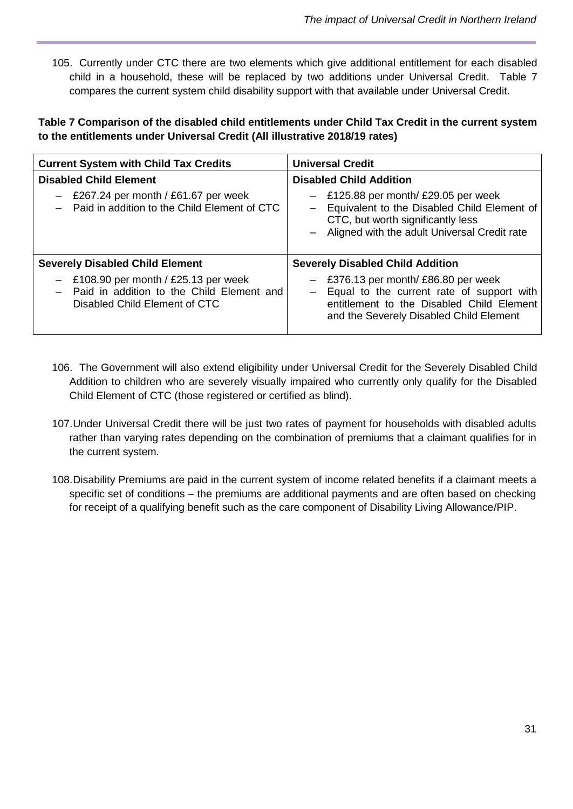105. Currently under CTC there are two elements which give additional entitlement for each disabled child in a household, these will be replaced by two additions under Universal Credit. Table 7 compares the current system child disability support with that available under Universal Credit.

#### **Table 7 Comparison of the disabled child entitlements under Child Tax Credit in the current system to the entitlements under Universal Credit (All illustrative 2018/19 rates)**

| <b>Current System with Child Tax Credits</b>                                                                            | <b>Universal Credit</b>                                                                                                                                                        |
|-------------------------------------------------------------------------------------------------------------------------|--------------------------------------------------------------------------------------------------------------------------------------------------------------------------------|
| <b>Disabled Child Element</b>                                                                                           | <b>Disabled Child Addition</b>                                                                                                                                                 |
| $-$ £267.24 per month / £61.67 per week<br>Paid in addition to the Child Element of CTC                                 | $-$ £125.88 per month/ £29.05 per week<br>- Equivalent to the Disabled Child Element of<br>CTC, but worth significantly less<br>- Aligned with the adult Universal Credit rate |
| <b>Severely Disabled Child Element</b>                                                                                  | <b>Severely Disabled Child Addition</b>                                                                                                                                        |
| $-$ £108.90 per month / £25.13 per week<br>- Paid in addition to the Child Element and<br>Disabled Child Element of CTC | £376.13 per month/ £86.80 per week<br>- Equal to the current rate of support with<br>entitlement to the Disabled Child Element<br>and the Severely Disabled Child Element      |

- 106. The Government will also extend eligibility under Universal Credit for the Severely Disabled Child Addition to children who are severely visually impaired who currently only qualify for the Disabled Child Element of CTC (those registered or certified as blind).
- 107.Under Universal Credit there will be just two rates of payment for households with disabled adults rather than varying rates depending on the combination of premiums that a claimant qualifies for in the current system.
- 108.Disability Premiums are paid in the current system of income related benefits if a claimant meets a specific set of conditions – the premiums are additional payments and are often based on checking for receipt of a qualifying benefit such as the care component of Disability Living Allowance/PIP.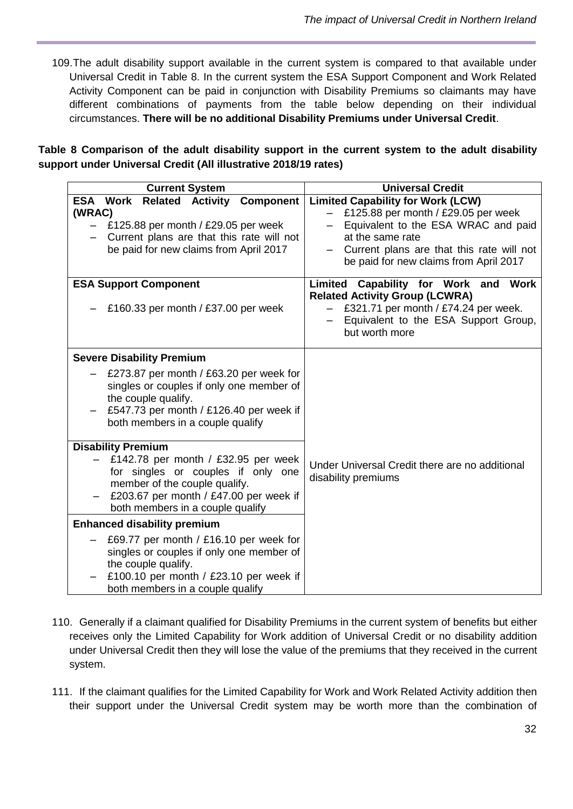109.The adult disability support available in the current system is compared to that available under Universal Credit in Table 8. In the current system the ESA Support Component and Work Related Activity Component can be paid in conjunction with Disability Premiums so claimants may have different combinations of payments from the table below depending on their individual circumstances. **There will be no additional Disability Premiums under Universal Credit**.

**Table 8 Comparison of the adult disability support in the current system to the adult disability support under Universal Credit (All illustrative 2018/19 rates)**

| <b>Current System</b>                                                                                                                                                                                                         | <b>Universal Credit</b>                                                                                                                                                                                                           |
|-------------------------------------------------------------------------------------------------------------------------------------------------------------------------------------------------------------------------------|-----------------------------------------------------------------------------------------------------------------------------------------------------------------------------------------------------------------------------------|
| <b>ESA Work</b><br><b>Related Activity</b><br><b>Component</b><br>(WRAC)<br>£125.88 per month / £29.05 per week<br>Current plans are that this rate will not<br>be paid for new claims from April 2017                        | <b>Limited Capability for Work (LCW)</b><br>£125.88 per month / £29.05 per week<br>Equivalent to the ESA WRAC and paid<br>at the same rate<br>Current plans are that this rate will not<br>be paid for new claims from April 2017 |
| <b>ESA Support Component</b><br>£160.33 per month / £37.00 per week                                                                                                                                                           | Limited Capability for Work and Work<br><b>Related Activity Group (LCWRA)</b><br>£321.71 per month / £74.24 per week.<br>Equivalent to the ESA Support Group,<br>but worth more                                                   |
| <b>Severe Disability Premium</b><br>£273.87 per month / £63.20 per week for<br>singles or couples if only one member of<br>the couple qualify.<br>£547.73 per month / £126.40 per week if<br>both members in a couple qualify |                                                                                                                                                                                                                                   |
| <b>Disability Premium</b><br>£142.78 per month / £32.95 per week<br>for singles or couples if only one<br>member of the couple qualify.<br>£203.67 per month / £47.00 per week if<br>both members in a couple qualify         | Under Universal Credit there are no additional<br>disability premiums                                                                                                                                                             |
| <b>Enhanced disability premium</b>                                                                                                                                                                                            |                                                                                                                                                                                                                                   |
| £69.77 per month / £16.10 per week for<br>singles or couples if only one member of<br>the couple qualify.<br>£100.10 per month / £23.10 per week if<br>both members in a couple qualify                                       |                                                                                                                                                                                                                                   |

- 110. Generally if a claimant qualified for Disability Premiums in the current system of benefits but either receives only the Limited Capability for Work addition of Universal Credit or no disability addition under Universal Credit then they will lose the value of the premiums that they received in the current system.
- 111. If the claimant qualifies for the Limited Capability for Work and Work Related Activity addition then their support under the Universal Credit system may be worth more than the combination of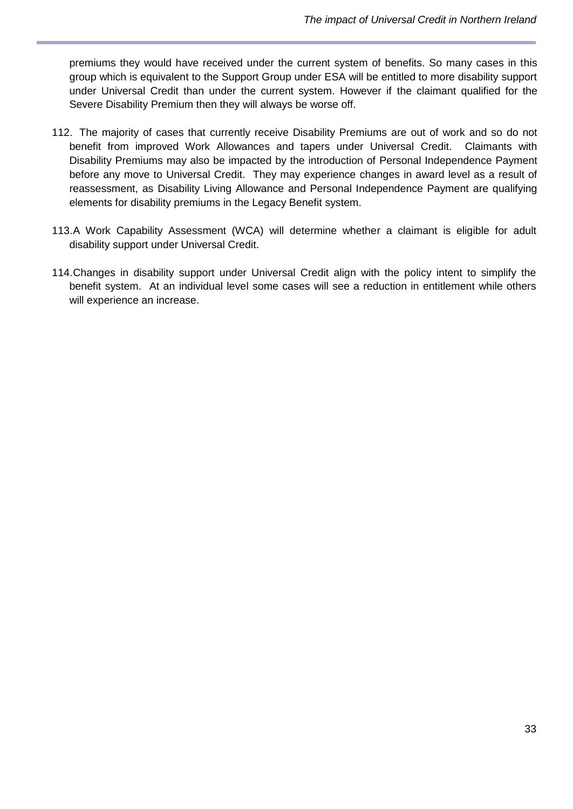premiums they would have received under the current system of benefits. So many cases in this group which is equivalent to the Support Group under ESA will be entitled to more disability support under Universal Credit than under the current system. However if the claimant qualified for the Severe Disability Premium then they will always be worse off.

- 112. The majority of cases that currently receive Disability Premiums are out of work and so do not benefit from improved Work Allowances and tapers under Universal Credit. Claimants with Disability Premiums may also be impacted by the introduction of Personal Independence Payment before any move to Universal Credit. They may experience changes in award level as a result of reassessment, as Disability Living Allowance and Personal Independence Payment are qualifying elements for disability premiums in the Legacy Benefit system.
- 113.A Work Capability Assessment (WCA) will determine whether a claimant is eligible for adult disability support under Universal Credit.
- 114.Changes in disability support under Universal Credit align with the policy intent to simplify the benefit system. At an individual level some cases will see a reduction in entitlement while others will experience an increase.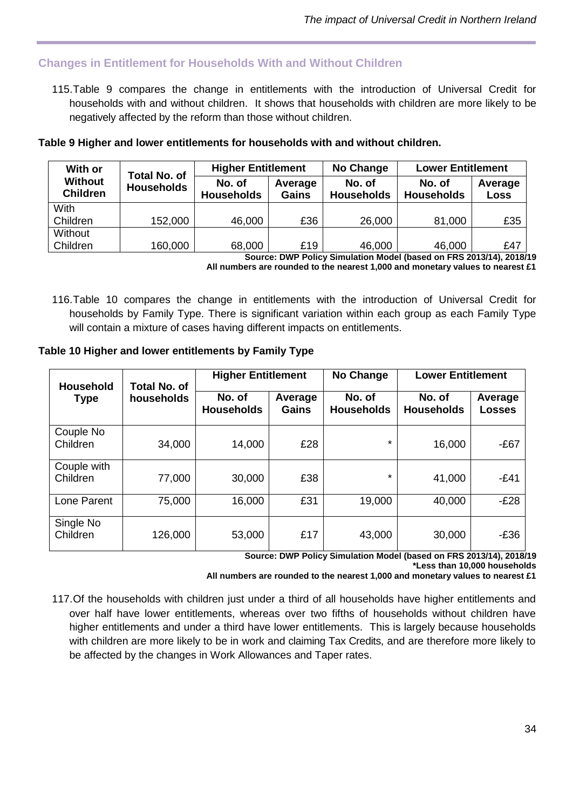# <span id="page-33-0"></span>**Changes in Entitlement for Households With and Without Children**

115.Table 9 compares the change in entitlements with the introduction of Universal Credit for households with and without children. It shows that households with children are more likely to be negatively affected by the reform than those without children.

#### **Table 9 Higher and lower entitlements for households with and without children.**

| With or<br><b>Total No. of</b>    |                   | <b>Higher Entitlement</b>   |                  | No Change                   | <b>Lower Entitlement</b>    |                 |
|-----------------------------------|-------------------|-----------------------------|------------------|-----------------------------|-----------------------------|-----------------|
| <b>Without</b><br><b>Children</b> | <b>Households</b> | No. of<br><b>Households</b> | Average<br>Gains | No. of<br><b>Households</b> | No. of<br><b>Households</b> | Average<br>Loss |
| With                              |                   |                             |                  |                             |                             |                 |
| Children                          | 152,000           | 46,000                      | £36              | 26,000                      | 81,000                      | £35             |
| Without                           |                   |                             |                  |                             |                             |                 |
| Children                          | 160,000           | 68,000                      | £19              | 46,000                      | 46,000                      | £47             |

**Source: DWP Policy Simulation Model (based on FRS 2013/14), 2018/19 All numbers are rounded to the nearest 1,000 and monetary values to nearest £1**

116.Table 10 compares the change in entitlements with the introduction of Universal Credit for households by Family Type. There is significant variation within each group as each Family Type will contain a mixture of cases having different impacts on entitlements.

#### **Table 10 Higher and lower entitlements by Family Type**

| <b>Household</b>          | <b>Total No. of</b> | <b>Higher Entitlement</b>   |                  | <b>No Change</b>            | <b>Lower Entitlement</b>    |                   |
|---------------------------|---------------------|-----------------------------|------------------|-----------------------------|-----------------------------|-------------------|
| households<br><b>Type</b> |                     | No. of<br><b>Households</b> | Average<br>Gains | No. of<br><b>Households</b> | No. of<br><b>Households</b> | Average<br>Losses |
| Couple No<br>Children     | 34,000              | 14,000                      | £28              | $\star$                     | 16,000                      | $-E67$            |
| Couple with<br>Children   | 77,000              | 30,000                      | £38              | $\star$                     | 41,000                      | $-E41$            |
| Lone Parent               | 75,000              | 16,000                      | £31              | 19,000                      | 40,000                      | $-E28$            |
| Single No<br>Children     | 126,000             | 53,000                      | £17              | 43,000                      | 30,000                      | $-E36$            |

**Source: DWP Policy Simulation Model (based on FRS 2013/14), 2018/19**

**\*Less than 10,000 households**

**All numbers are rounded to the nearest 1,000 and monetary values to nearest £1**

117.Of the households with children just under a third of all households have higher entitlements and over half have lower entitlements, whereas over two fifths of households without children have higher entitlements and under a third have lower entitlements. This is largely because households with children are more likely to be in work and claiming Tax Credits, and are therefore more likely to be affected by the changes in Work Allowances and Taper rates.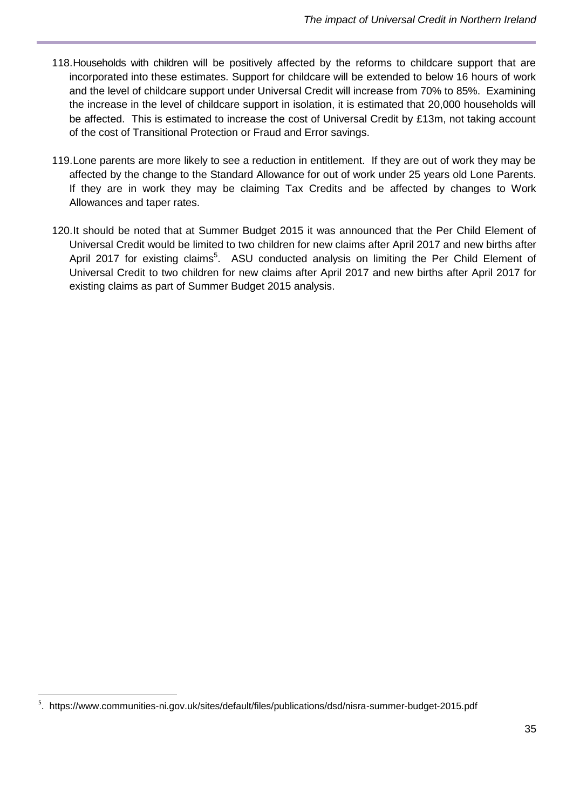- 118.Households with children will be positively affected by the reforms to childcare support that are incorporated into these estimates. Support for childcare will be extended to below 16 hours of work and the level of childcare support under Universal Credit will increase from 70% to 85%. Examining the increase in the level of childcare support in isolation, it is estimated that 20,000 households will be affected. This is estimated to increase the cost of Universal Credit by £13m, not taking account of the cost of Transitional Protection or Fraud and Error savings.
- 119.Lone parents are more likely to see a reduction in entitlement. If they are out of work they may be affected by the change to the Standard Allowance for out of work under 25 years old Lone Parents. If they are in work they may be claiming Tax Credits and be affected by changes to Work Allowances and taper rates.
- 120.It should be noted that at Summer Budget 2015 it was announced that the Per Child Element of Universal Credit would be limited to two children for new claims after April 2017 and new births after April 2017 for existing claims<sup>5</sup>. ASU conducted analysis on limiting the Per Child Element of Universal Credit to two children for new claims after April 2017 and new births after April 2017 for existing claims as part of Summer Budget 2015 analysis.

 $\overline{a}$ 

<sup>&</sup>lt;sup>5</sup>. https://www.communities-ni.gov.uk/sites/default/files/publications/dsd/nisra-summer-budget-2015.pdf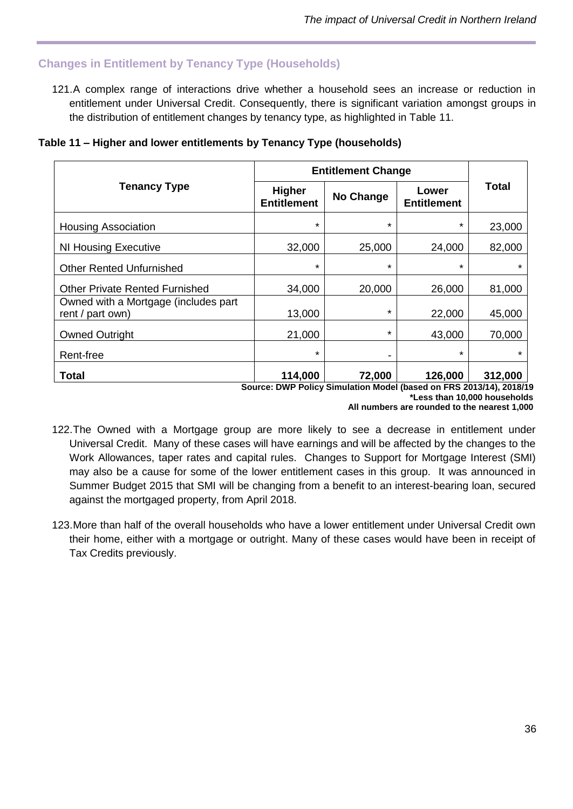# <span id="page-35-0"></span>**Changes in Entitlement by Tenancy Type (Households)**

against the mortgaged property, from April 2018.

121.A complex range of interactions drive whether a household sees an increase or reduction in entitlement under Universal Credit. Consequently, there is significant variation amongst groups in the distribution of entitlement changes by tenancy type, as highlighted in Table 11.

| Table 11 - Higher and lower entitlements by Tenancy Type (households) |  |  |  |  |  |  |
|-----------------------------------------------------------------------|--|--|--|--|--|--|
|-----------------------------------------------------------------------|--|--|--|--|--|--|

|                                                          | <b>Entitlement Change</b>           |           |                             |         |
|----------------------------------------------------------|-------------------------------------|-----------|-----------------------------|---------|
| <b>Tenancy Type</b>                                      | <b>Higher</b><br><b>Entitlement</b> | No Change | Lower<br><b>Entitlement</b> | Total   |
| <b>Housing Association</b>                               | $\star$                             | $\star$   | $\star$                     | 23,000  |
| NI Housing Executive                                     | 32,000                              | 25,000    | 24,000                      | 82,000  |
| <b>Other Rented Unfurnished</b>                          | $\star$                             | $\star$   | $\star$                     | $\star$ |
| <b>Other Private Rented Furnished</b>                    | 34,000                              | 20,000    | 26,000                      | 81,000  |
| Owned with a Mortgage (includes part<br>rent / part own) | 13,000                              | $\star$   | 22,000                      | 45,000  |
| <b>Owned Outright</b>                                    | 21,000                              | $\star$   | 43,000                      | 70,000  |
| Rent-free                                                | $\star$                             | -         | $\star$                     | $\star$ |
| <b>Total</b>                                             | 114,000                             | 72,000    | 126,000                     | 312,000 |

**Source: DWP Policy Simulation Model (based on FRS 2013/14), 2018/19 \*Less than 10,000 households All numbers are rounded to the nearest 1,000**

122.The Owned with a Mortgage group are more likely to see a decrease in entitlement under Universal Credit. Many of these cases will have earnings and will be affected by the changes to the Work Allowances, taper rates and capital rules. Changes to Support for Mortgage Interest (SMI) may also be a cause for some of the lower entitlement cases in this group. It was announced in Summer Budget 2015 that SMI will be changing from a benefit to an interest-bearing loan, secured

123.More than half of the overall households who have a lower entitlement under Universal Credit own their home, either with a mortgage or outright. Many of these cases would have been in receipt of Tax Credits previously.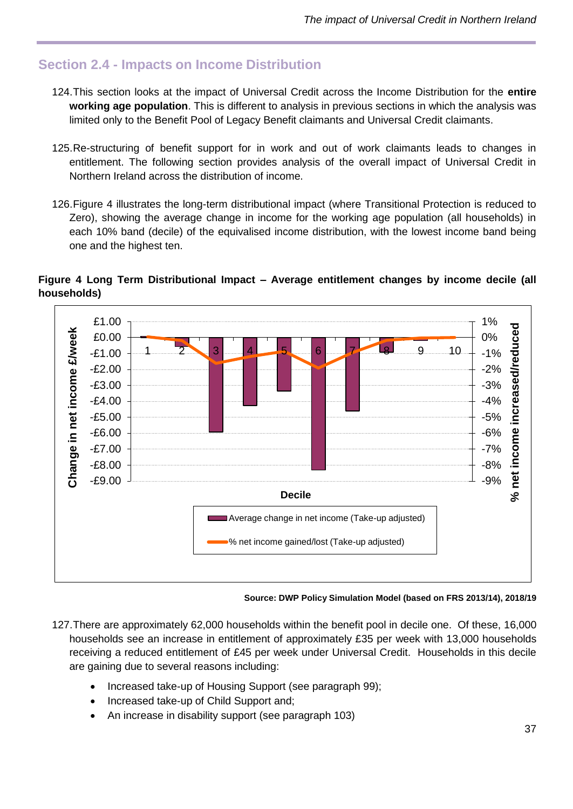# <span id="page-36-0"></span>**Section 2.4 - Impacts on Income Distribution**

- 124.This section looks at the impact of Universal Credit across the Income Distribution for the **entire working age population**. This is different to analysis in previous sections in which the analysis was limited only to the Benefit Pool of Legacy Benefit claimants and Universal Credit claimants.
- 125.Re-structuring of benefit support for in work and out of work claimants leads to changes in entitlement. The following section provides analysis of the overall impact of Universal Credit in Northern Ireland across the distribution of income.
- 126.Figure 4 illustrates the long-term distributional impact (where Transitional Protection is reduced to Zero), showing the average change in income for the working age population (all households) in each 10% band (decile) of the equivalised income distribution, with the lowest income band being one and the highest ten.

#### **Figure 4 Long Term Distributional Impact – Average entitlement changes by income decile (all households)**



**Source: DWP Policy Simulation Model (based on FRS 2013/14), 2018/19**

- 127.There are approximately 62,000 households within the benefit pool in decile one. Of these, 16,000 households see an increase in entitlement of approximately £35 per week with 13,000 households receiving a reduced entitlement of £45 per week under Universal Credit. Households in this decile are gaining due to several reasons including:
	- Increased take-up of Housing Support (see paragraph 99);
	- Increased take-up of Child Support and;
	- An increase in disability support (see paragraph 103)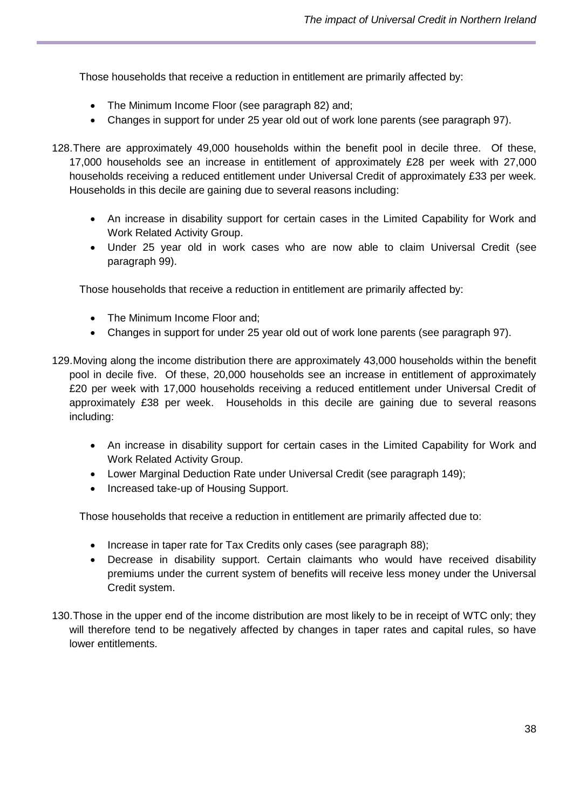Those households that receive a reduction in entitlement are primarily affected by:

- The Minimum Income Floor (see paragraph 82) and;
- Changes in support for under 25 year old out of work lone parents (see paragraph 97).
- 128.There are approximately 49,000 households within the benefit pool in decile three. Of these, 17,000 households see an increase in entitlement of approximately £28 per week with 27,000 households receiving a reduced entitlement under Universal Credit of approximately £33 per week. Households in this decile are gaining due to several reasons including:
	- An increase in disability support for certain cases in the Limited Capability for Work and Work Related Activity Group.
	- Under 25 year old in work cases who are now able to claim Universal Credit (see paragraph 99).

Those households that receive a reduction in entitlement are primarily affected by:

- The Minimum Income Floor and:
- Changes in support for under 25 year old out of work lone parents (see paragraph 97).
- 129.Moving along the income distribution there are approximately 43,000 households within the benefit pool in decile five. Of these, 20,000 households see an increase in entitlement of approximately £20 per week with 17,000 households receiving a reduced entitlement under Universal Credit of approximately £38 per week. Households in this decile are gaining due to several reasons including:
	- An increase in disability support for certain cases in the Limited Capability for Work and Work Related Activity Group.
	- Lower Marginal Deduction Rate under Universal Credit (see paragraph 149);
	- Increased take-up of Housing Support.

Those households that receive a reduction in entitlement are primarily affected due to:

- Increase in taper rate for Tax Credits only cases (see paragraph 88);
- Decrease in disability support. Certain claimants who would have received disability premiums under the current system of benefits will receive less money under the Universal Credit system.
- 130.Those in the upper end of the income distribution are most likely to be in receipt of WTC only; they will therefore tend to be negatively affected by changes in taper rates and capital rules, so have lower entitlements.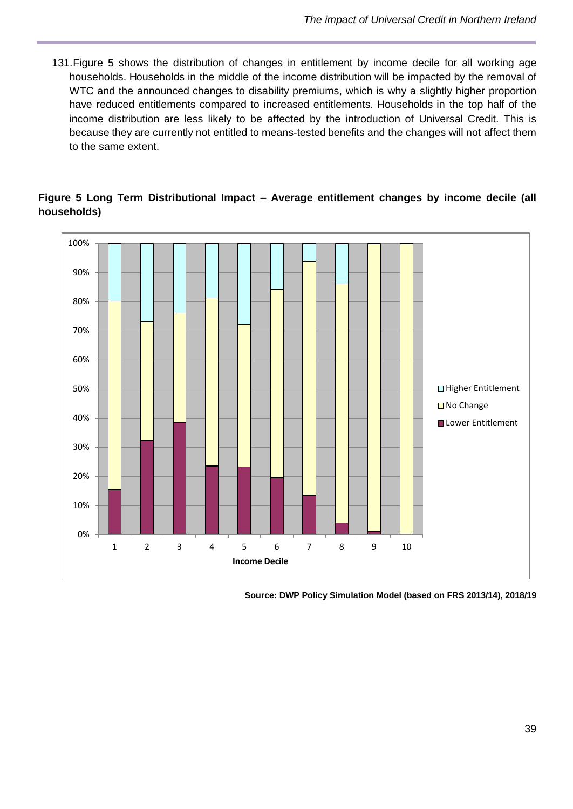131.Figure 5 shows the distribution of changes in entitlement by income decile for all working age households. Households in the middle of the income distribution will be impacted by the removal of WTC and the announced changes to disability premiums, which is why a slightly higher proportion have reduced entitlements compared to increased entitlements. Households in the top half of the income distribution are less likely to be affected by the introduction of Universal Credit. This is because they are currently not entitled to means-tested benefits and the changes will not affect them to the same extent.





**Source: DWP Policy Simulation Model (based on FRS 2013/14), 2018/19**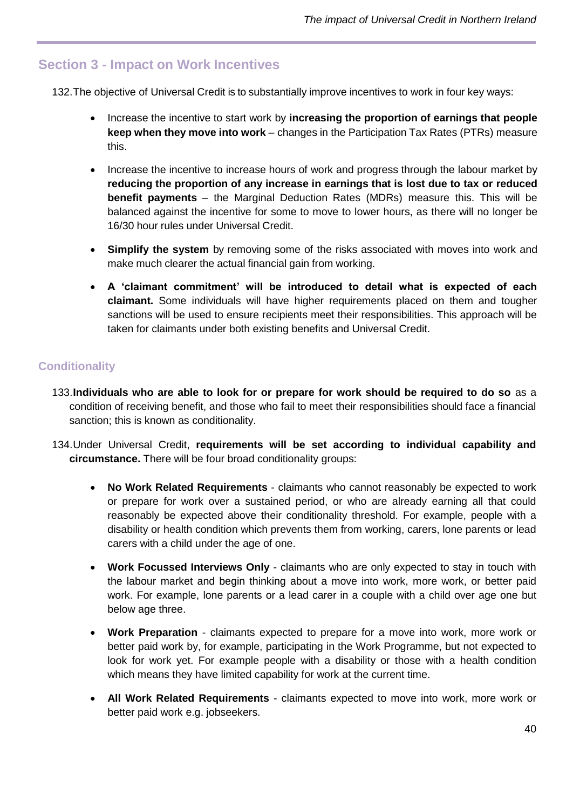# <span id="page-39-0"></span>**Section 3 - Impact on Work Incentives**

132.The objective of Universal Credit is to substantially improve incentives to work in four key ways:

- Increase the incentive to start work by **increasing the proportion of earnings that people keep when they move into work** – changes in the Participation Tax Rates (PTRs) measure this.
- Increase the incentive to increase hours of work and progress through the labour market by **reducing the proportion of any increase in earnings that is lost due to tax or reduced benefit payments** – the Marginal Deduction Rates (MDRs) measure this. This will be balanced against the incentive for some to move to lower hours, as there will no longer be 16/30 hour rules under Universal Credit.
- **Simplify the system** by removing some of the risks associated with moves into work and make much clearer the actual financial gain from working.
- **A 'claimant commitment' will be introduced to detail what is expected of each claimant.** Some individuals will have higher requirements placed on them and tougher sanctions will be used to ensure recipients meet their responsibilities. This approach will be taken for claimants under both existing benefits and Universal Credit.

# **Conditionality**

- 133.**Individuals who are able to look for or prepare for work should be required to do so** as a condition of receiving benefit, and those who fail to meet their responsibilities should face a financial sanction; this is known as conditionality.
- 134.Under Universal Credit, **requirements will be set according to individual capability and circumstance.** There will be four broad conditionality groups:
	- **No Work Related Requirements** claimants who cannot reasonably be expected to work or prepare for work over a sustained period, or who are already earning all that could reasonably be expected above their conditionality threshold. For example, people with a disability or health condition which prevents them from working, carers, lone parents or lead carers with a child under the age of one.
	- **Work Focussed Interviews Only** claimants who are only expected to stay in touch with the labour market and begin thinking about a move into work, more work, or better paid work. For example, lone parents or a lead carer in a couple with a child over age one but below age three.
	- **Work Preparation** claimants expected to prepare for a move into work, more work or better paid work by, for example, participating in the Work Programme, but not expected to look for work yet. For example people with a disability or those with a health condition which means they have limited capability for work at the current time.
	- **All Work Related Requirements** claimants expected to move into work, more work or better paid work e.g. jobseekers.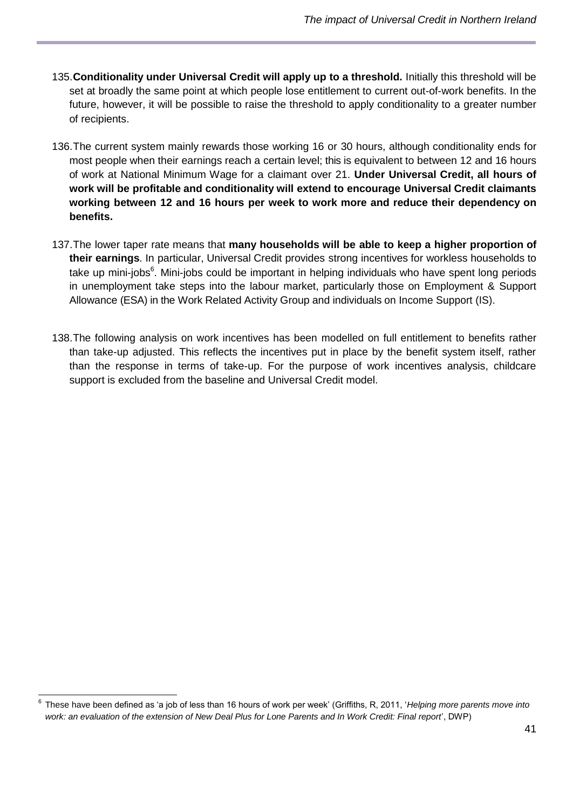- 135.**Conditionality under Universal Credit will apply up to a threshold.** Initially this threshold will be set at broadly the same point at which people lose entitlement to current out-of-work benefits. In the future, however, it will be possible to raise the threshold to apply conditionality to a greater number of recipients.
- 136.The current system mainly rewards those working 16 or 30 hours, although conditionality ends for most people when their earnings reach a certain level; this is equivalent to between 12 and 16 hours of work at National Minimum Wage for a claimant over 21. **Under Universal Credit, all hours of work will be profitable and conditionality will extend to encourage Universal Credit claimants working between 12 and 16 hours per week to work more and reduce their dependency on benefits.**
- 137.The lower taper rate means that **many households will be able to keep a higher proportion of their earnings**. In particular, Universal Credit provides strong incentives for workless households to take up mini-jobs<sup>6</sup>. Mini-jobs could be important in helping individuals who have spent long periods in unemployment take steps into the labour market, particularly those on Employment & Support Allowance (ESA) in the Work Related Activity Group and individuals on Income Support (IS).
- 138.The following analysis on work incentives has been modelled on full entitlement to benefits rather than take-up adjusted. This reflects the incentives put in place by the benefit system itself, rather than the response in terms of take-up. For the purpose of work incentives analysis, childcare support is excluded from the baseline and Universal Credit model.

 6 These have been defined as 'a job of less than 16 hours of work per week' (Griffiths, R, 2011, '*Helping more parents move into work: an evaluation of the extension of New Deal Plus for Lone Parents and In Work Credit: Final report*', DWP)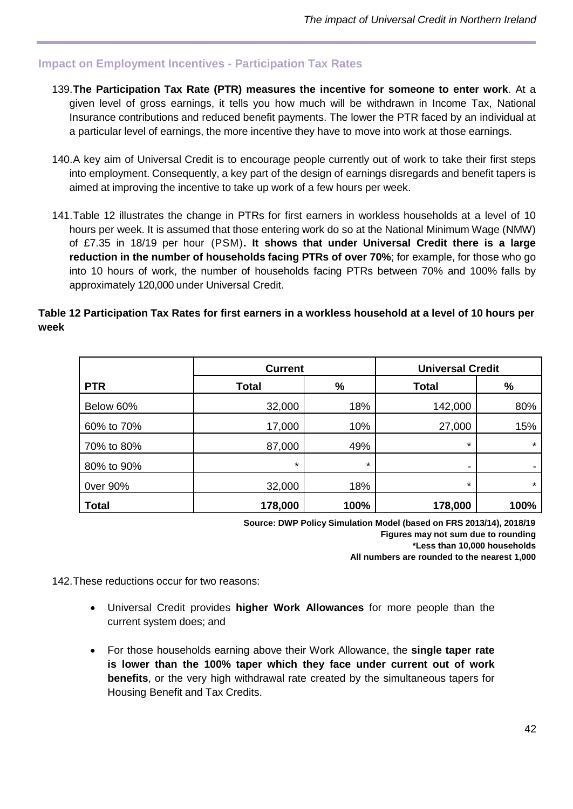### <span id="page-41-0"></span>**Impact on Employment Incentives - Participation Tax Rates**

- 139.**The Participation Tax Rate (PTR) measures the incentive for someone to enter work**. At a given level of gross earnings, it tells you how much will be withdrawn in Income Tax, National Insurance contributions and reduced benefit payments. The lower the PTR faced by an individual at a particular level of earnings, the more incentive they have to move into work at those earnings.
- 140.A key aim of Universal Credit is to encourage people currently out of work to take their first steps into employment. Consequently, a key part of the design of earnings disregards and benefit tapers is aimed at improving the incentive to take up work of a few hours per week.
- 141.Table 12 illustrates the change in PTRs for first earners in workless households at a level of 10 hours per week. It is assumed that those entering work do so at the National Minimum Wage (NMW) of £7.35 in 18/19 per hour (PSM)**. It shows that under Universal Credit there is a large reduction in the number of households facing PTRs of over 70%**; for example, for those who go into 10 hours of work, the number of households facing PTRs between 70% and 100% falls by approximately 120,000 under Universal Credit.

#### **Table 12 Participation Tax Rates for first earners in a workless household at a level of 10 hours per week**

|              | <b>Current</b> |         | <b>Universal Credit</b> |         |
|--------------|----------------|---------|-------------------------|---------|
| <b>PTR</b>   | <b>Total</b>   | %       | <b>Total</b>            | %       |
| Below 60%    | 32,000         | 18%     | 142,000                 | 80%     |
| 60% to 70%   | 17,000         | 10%     | 27,000                  | 15%     |
| 70% to 80%   | 87,000         | 49%     | $\star$                 | $\star$ |
| 80% to 90%   | $\star$        | $\star$ |                         | -       |
| 0ver 90%     | 32,000         | 18%     | $\star$                 | $\star$ |
| <b>Total</b> | 178,000        | 100%    | 178,000                 | 100%    |

**Source: DWP Policy Simulation Model (based on FRS 2013/14), 2018/19 Figures may not sum due to rounding \*Less than 10,000 households**

**All numbers are rounded to the nearest 1,000**

142.These reductions occur for two reasons:

- Universal Credit provides **higher Work Allowances** for more people than the current system does; and
- For those households earning above their Work Allowance, the **single taper rate is lower than the 100% taper which they face under current out of work benefits**, or the very high withdrawal rate created by the simultaneous tapers for Housing Benefit and Tax Credits.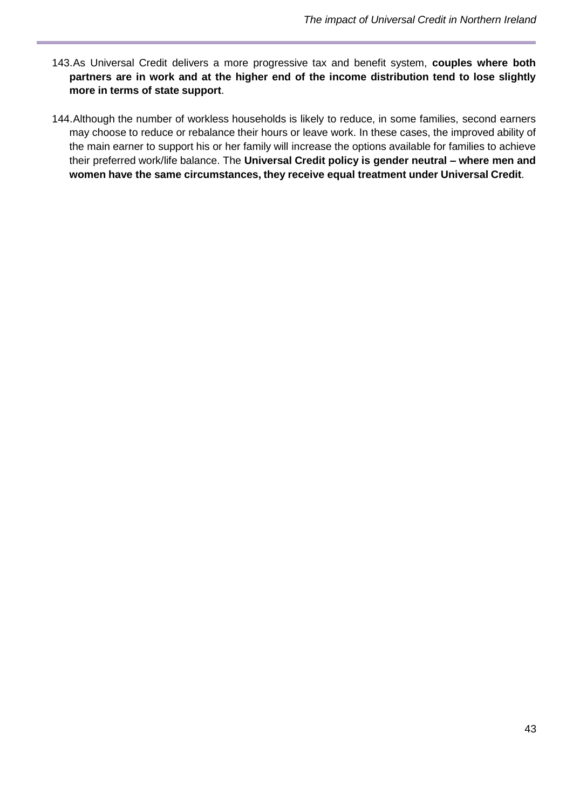- 143.As Universal Credit delivers a more progressive tax and benefit system, **couples where both partners are in work and at the higher end of the income distribution tend to lose slightly more in terms of state support**.
- 144.Although the number of workless households is likely to reduce, in some families, second earners may choose to reduce or rebalance their hours or leave work. In these cases, the improved ability of the main earner to support his or her family will increase the options available for families to achieve their preferred work/life balance. The **Universal Credit policy is gender neutral – where men and women have the same circumstances, they receive equal treatment under Universal Credit**.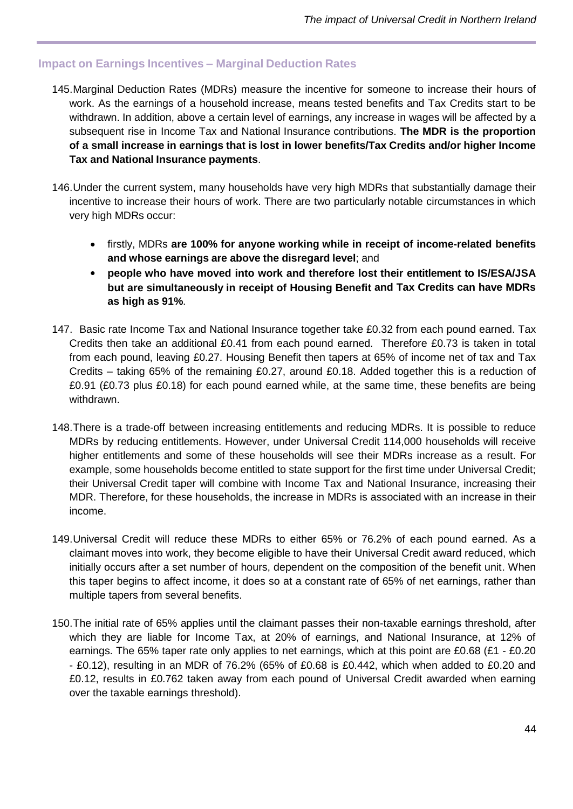### <span id="page-43-0"></span>**Impact on Earnings Incentives – Marginal Deduction Rates**

- 145.Marginal Deduction Rates (MDRs) measure the incentive for someone to increase their hours of work. As the earnings of a household increase, means tested benefits and Tax Credits start to be withdrawn. In addition, above a certain level of earnings, any increase in wages will be affected by a subsequent rise in Income Tax and National Insurance contributions. **The MDR is the proportion of a small increase in earnings that is lost in lower benefits/Tax Credits and/or higher Income Tax and National Insurance payments**.
- 146.Under the current system, many households have very high MDRs that substantially damage their incentive to increase their hours of work. There are two particularly notable circumstances in which very high MDRs occur:
	- firstly, MDRs **are 100% for anyone working while in receipt of income-related benefits and whose earnings are above the disregard level**; and
	- **people who have moved into work and therefore lost their entitlement to IS/ESA/JSA but are simultaneously in receipt of Housing Benefit and Tax Credits can have MDRs as high as 91%**.
- 147. Basic rate Income Tax and National Insurance together take £0.32 from each pound earned. Tax Credits then take an additional £0.41 from each pound earned. Therefore £0.73 is taken in total from each pound, leaving £0.27. Housing Benefit then tapers at 65% of income net of tax and Tax Credits – taking 65% of the remaining £0.27, around £0.18. Added together this is a reduction of £0.91 (£0.73 plus £0.18) for each pound earned while, at the same time, these benefits are being withdrawn.
- 148.There is a trade-off between increasing entitlements and reducing MDRs. It is possible to reduce MDRs by reducing entitlements. However, under Universal Credit 114,000 households will receive higher entitlements and some of these households will see their MDRs increase as a result. For example, some households become entitled to state support for the first time under Universal Credit; their Universal Credit taper will combine with Income Tax and National Insurance, increasing their MDR. Therefore, for these households, the increase in MDRs is associated with an increase in their income.
- 149.Universal Credit will reduce these MDRs to either 65% or 76.2% of each pound earned. As a claimant moves into work, they become eligible to have their Universal Credit award reduced, which initially occurs after a set number of hours, dependent on the composition of the benefit unit. When this taper begins to affect income, it does so at a constant rate of 65% of net earnings, rather than multiple tapers from several benefits.
- 150.The initial rate of 65% applies until the claimant passes their non-taxable earnings threshold, after which they are liable for Income Tax, at 20% of earnings, and National Insurance, at 12% of earnings. The 65% taper rate only applies to net earnings, which at this point are £0.68 (£1 - £0.20 - £0.12), resulting in an MDR of 76.2% (65% of £0.68 is £0.442, which when added to £0.20 and £0.12, results in £0.762 taken away from each pound of Universal Credit awarded when earning over the taxable earnings threshold).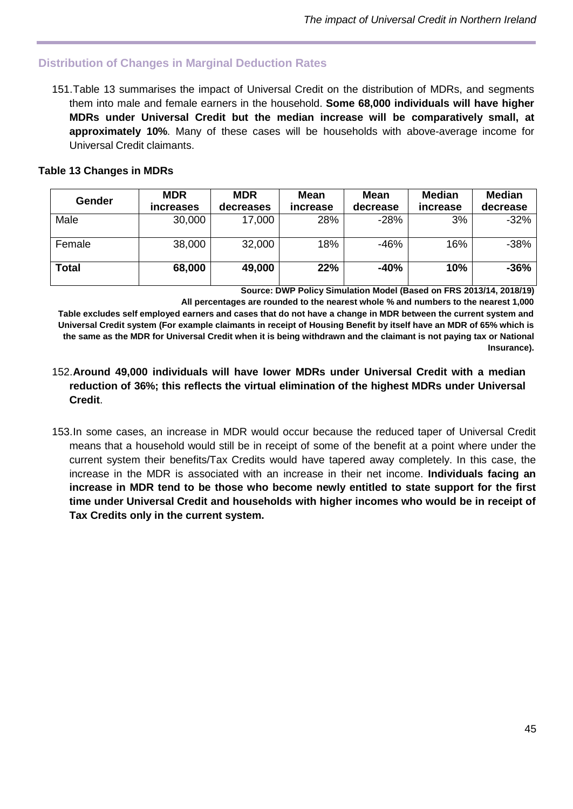# <span id="page-44-0"></span>**Distribution of Changes in Marginal Deduction Rates**

151.Table 13 summarises the impact of Universal Credit on the distribution of MDRs, and segments them into male and female earners in the household. **Some 68,000 individuals will have higher MDRs under Universal Credit but the median increase will be comparatively small, at approximately 10%**. Many of these cases will be households with above-average income for Universal Credit claimants.

### **Table 13 Changes in MDRs**

| Gender       | <b>MDR</b><br><i>increases</i> | <b>MDR</b><br>decreases | Mean<br>increase | Mean<br>decrease | <b>Median</b><br>increase | Median<br>decrease |
|--------------|--------------------------------|-------------------------|------------------|------------------|---------------------------|--------------------|
| Male         | 30,000                         | 17,000                  | 28%              | $-28%$           | 3%                        | $-32%$             |
| Female       | 38,000                         | 32,000                  | 18%              | $-46%$           | 16%                       | $-38%$             |
| <b>Total</b> | 68,000                         | 49,000                  | 22%              | $-40%$           | 10%                       | $-36%$             |

**Source: DWP Policy Simulation Model (Based on FRS 2013/14, 2018/19)**

**All percentages are rounded to the nearest whole % and numbers to the nearest 1,000 Table excludes self employed earners and cases that do not have a change in MDR between the current system and Universal Credit system (For example claimants in receipt of Housing Benefit by itself have an MDR of 65% which is the same as the MDR for Universal Credit when it is being withdrawn and the claimant is not paying tax or National Insurance).** 

#### 152.**Around 49,000 individuals will have lower MDRs under Universal Credit with a median reduction of 36%; this reflects the virtual elimination of the highest MDRs under Universal Credit**.

153.In some cases, an increase in MDR would occur because the reduced taper of Universal Credit means that a household would still be in receipt of some of the benefit at a point where under the current system their benefits/Tax Credits would have tapered away completely. In this case, the increase in the MDR is associated with an increase in their net income. **Individuals facing an increase in MDR tend to be those who become newly entitled to state support for the first time under Universal Credit and households with higher incomes who would be in receipt of Tax Credits only in the current system.**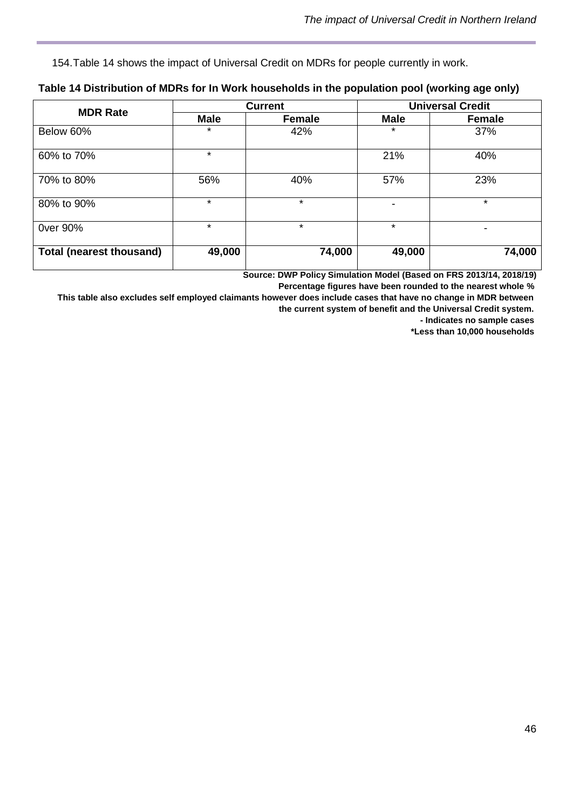154.Table 14 shows the impact of Universal Credit on MDRs for people currently in work.

| <b>MDR Rate</b>                 | <b>Current</b> |         |             | <b>Universal Credit</b> |
|---------------------------------|----------------|---------|-------------|-------------------------|
|                                 | <b>Male</b>    | Female  | <b>Male</b> | Female                  |
| Below 60%                       | $\star$        | 42%     | $\star$     | 37%                     |
| 60% to 70%                      | $\star$        |         | 21%         | 40%                     |
| 70% to 80%                      | 56%            | 40%     | 57%         | 23%                     |
| 80% to 90%                      | $\star$        | $\star$ |             | $\star$                 |
| 0ver 90%                        | $\star$        | $\star$ | $\star$     | ۰                       |
| <b>Total (nearest thousand)</b> | 49,000         | 74,000  | 49,000      | 74,000                  |

#### **Table 14 Distribution of MDRs for In Work households in the population pool (working age only)**

**Source: DWP Policy Simulation Model (Based on FRS 2013/14, 2018/19)**

**Percentage figures have been rounded to the nearest whole %**

**This table also excludes self employed claimants however does include cases that have no change in MDR between the current system of benefit and the Universal Credit system.** 

**- Indicates no sample cases**

**\*Less than 10,000 households**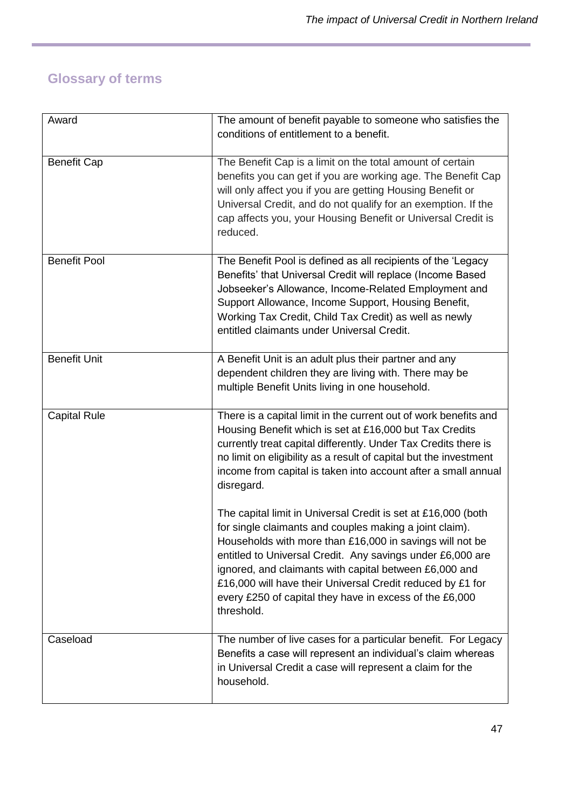# <span id="page-46-0"></span>**Glossary of terms**

| Award               | The amount of benefit payable to someone who satisfies the<br>conditions of entitlement to a benefit.                                                                                                                                                                                                                                                                                                                                               |
|---------------------|-----------------------------------------------------------------------------------------------------------------------------------------------------------------------------------------------------------------------------------------------------------------------------------------------------------------------------------------------------------------------------------------------------------------------------------------------------|
| <b>Benefit Cap</b>  | The Benefit Cap is a limit on the total amount of certain<br>benefits you can get if you are working age. The Benefit Cap<br>will only affect you if you are getting Housing Benefit or<br>Universal Credit, and do not qualify for an exemption. If the<br>cap affects you, your Housing Benefit or Universal Credit is<br>reduced.                                                                                                                |
| <b>Benefit Pool</b> | The Benefit Pool is defined as all recipients of the 'Legacy<br>Benefits' that Universal Credit will replace (Income Based<br>Jobseeker's Allowance, Income-Related Employment and<br>Support Allowance, Income Support, Housing Benefit,<br>Working Tax Credit, Child Tax Credit) as well as newly<br>entitled claimants under Universal Credit.                                                                                                   |
| <b>Benefit Unit</b> | A Benefit Unit is an adult plus their partner and any<br>dependent children they are living with. There may be<br>multiple Benefit Units living in one household.                                                                                                                                                                                                                                                                                   |
| <b>Capital Rule</b> | There is a capital limit in the current out of work benefits and<br>Housing Benefit which is set at £16,000 but Tax Credits<br>currently treat capital differently. Under Tax Credits there is<br>no limit on eligibility as a result of capital but the investment<br>income from capital is taken into account after a small annual<br>disregard.                                                                                                 |
|                     | The capital limit in Universal Credit is set at £16,000 (both<br>for single claimants and couples making a joint claim).<br>Households with more than £16,000 in savings will not be<br>entitled to Universal Credit. Any savings under £6,000 are<br>ignored, and claimants with capital between £6,000 and<br>£16,000 will have their Universal Credit reduced by £1 for<br>every £250 of capital they have in excess of the £6,000<br>threshold. |
| Caseload            | The number of live cases for a particular benefit. For Legacy<br>Benefits a case will represent an individual's claim whereas<br>in Universal Credit a case will represent a claim for the<br>household.                                                                                                                                                                                                                                            |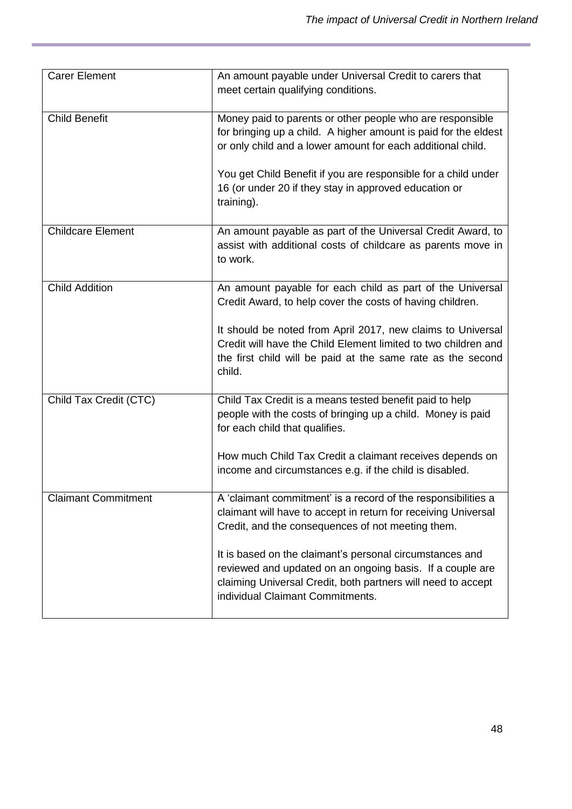| <b>Carer Element</b>       | An amount payable under Universal Credit to carers that<br>meet certain qualifying conditions.                                                                                                                            |
|----------------------------|---------------------------------------------------------------------------------------------------------------------------------------------------------------------------------------------------------------------------|
| <b>Child Benefit</b>       | Money paid to parents or other people who are responsible<br>for bringing up a child. A higher amount is paid for the eldest<br>or only child and a lower amount for each additional child.                               |
|                            | You get Child Benefit if you are responsible for a child under<br>16 (or under 20 if they stay in approved education or<br>training).                                                                                     |
| <b>Childcare Element</b>   | An amount payable as part of the Universal Credit Award, to<br>assist with additional costs of childcare as parents move in<br>to work.                                                                                   |
| <b>Child Addition</b>      | An amount payable for each child as part of the Universal<br>Credit Award, to help cover the costs of having children.                                                                                                    |
|                            | It should be noted from April 2017, new claims to Universal<br>Credit will have the Child Element limited to two children and<br>the first child will be paid at the same rate as the second<br>child.                    |
| Child Tax Credit (CTC)     | Child Tax Credit is a means tested benefit paid to help<br>people with the costs of bringing up a child. Money is paid<br>for each child that qualifies.                                                                  |
|                            | How much Child Tax Credit a claimant receives depends on<br>income and circumstances e.g. if the child is disabled.                                                                                                       |
| <b>Claimant Commitment</b> | A 'claimant commitment' is a record of the responsibilities a<br>claimant will have to accept in return for receiving Universal<br>Credit, and the consequences of not meeting them.                                      |
|                            | It is based on the claimant's personal circumstances and<br>reviewed and updated on an ongoing basis. If a couple are<br>claiming Universal Credit, both partners will need to accept<br>individual Claimant Commitments. |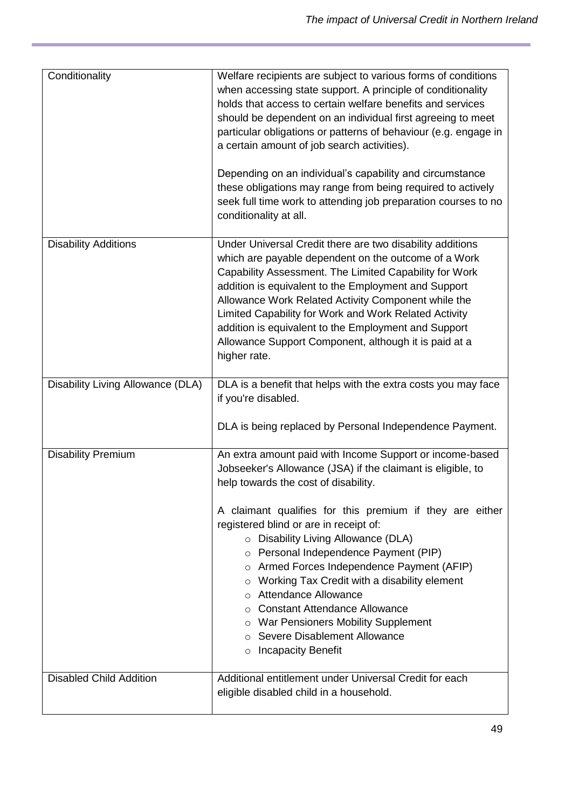| Conditionality                    | Welfare recipients are subject to various forms of conditions<br>when accessing state support. A principle of conditionality<br>holds that access to certain welfare benefits and services<br>should be dependent on an individual first agreeing to meet<br>particular obligations or patterns of behaviour (e.g. engage in<br>a certain amount of job search activities).<br>Depending on an individual's capability and circumstance<br>these obligations may range from being required to actively<br>seek full time work to attending job preparation courses to no<br>conditionality at all.                                                     |
|-----------------------------------|--------------------------------------------------------------------------------------------------------------------------------------------------------------------------------------------------------------------------------------------------------------------------------------------------------------------------------------------------------------------------------------------------------------------------------------------------------------------------------------------------------------------------------------------------------------------------------------------------------------------------------------------------------|
| <b>Disability Additions</b>       | Under Universal Credit there are two disability additions<br>which are payable dependent on the outcome of a Work<br>Capability Assessment. The Limited Capability for Work<br>addition is equivalent to the Employment and Support<br>Allowance Work Related Activity Component while the<br>Limited Capability for Work and Work Related Activity<br>addition is equivalent to the Employment and Support<br>Allowance Support Component, although it is paid at a<br>higher rate.                                                                                                                                                                   |
| Disability Living Allowance (DLA) | DLA is a benefit that helps with the extra costs you may face<br>if you're disabled.<br>DLA is being replaced by Personal Independence Payment.                                                                                                                                                                                                                                                                                                                                                                                                                                                                                                        |
| <b>Disability Premium</b>         | An extra amount paid with Income Support or income-based<br>Jobseeker's Allowance (JSA) if the claimant is eligible, to<br>help towards the cost of disability.<br>A claimant qualifies for this premium if they are either<br>registered blind or are in receipt of:<br>o Disability Living Allowance (DLA)<br>o Personal Independence Payment (PIP)<br>o Armed Forces Independence Payment (AFIP)<br>Working Tax Credit with a disability element<br>$\circ$<br>Attendance Allowance<br><b>Constant Attendance Allowance</b><br>War Pensioners Mobility Supplement<br>O<br>Severe Disablement Allowance<br>$\circ$<br><b>Incapacity Benefit</b><br>O |
| <b>Disabled Child Addition</b>    | Additional entitlement under Universal Credit for each<br>eligible disabled child in a household.                                                                                                                                                                                                                                                                                                                                                                                                                                                                                                                                                      |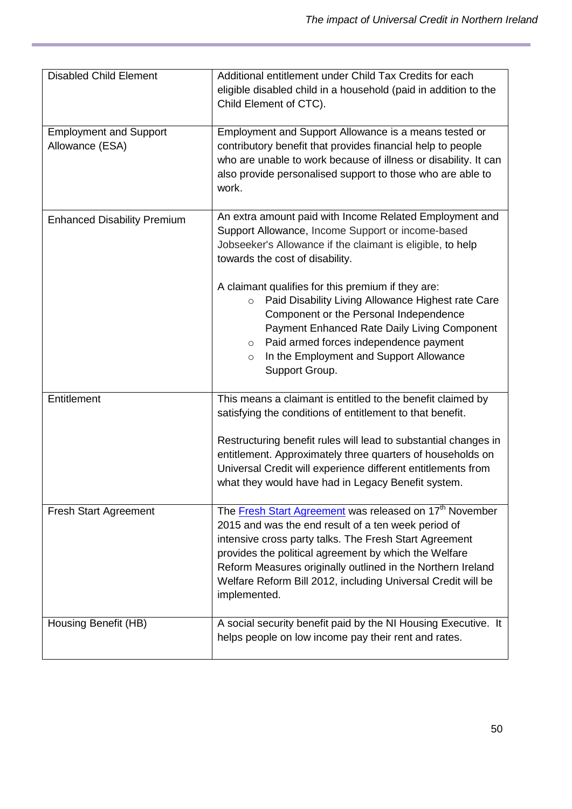| <b>Disabled Child Element</b>                    | Additional entitlement under Child Tax Credits for each<br>eligible disabled child in a household (paid in addition to the<br>Child Element of CTC).                                                                                                                                                                                                                                         |  |
|--------------------------------------------------|----------------------------------------------------------------------------------------------------------------------------------------------------------------------------------------------------------------------------------------------------------------------------------------------------------------------------------------------------------------------------------------------|--|
| <b>Employment and Support</b><br>Allowance (ESA) | Employment and Support Allowance is a means tested or<br>contributory benefit that provides financial help to people<br>who are unable to work because of illness or disability. It can<br>also provide personalised support to those who are able to<br>work.                                                                                                                               |  |
| <b>Enhanced Disability Premium</b>               | An extra amount paid with Income Related Employment and<br>Support Allowance, Income Support or income-based<br>Jobseeker's Allowance if the claimant is eligible, to help<br>towards the cost of disability.                                                                                                                                                                                |  |
|                                                  | A claimant qualifies for this premium if they are:<br>Paid Disability Living Allowance Highest rate Care<br>$\circ$<br>Component or the Personal Independence<br>Payment Enhanced Rate Daily Living Component<br>Paid armed forces independence payment<br>$\circ$<br>In the Employment and Support Allowance<br>$\circ$<br>Support Group.                                                   |  |
| Entitlement                                      | This means a claimant is entitled to the benefit claimed by<br>satisfying the conditions of entitlement to that benefit.                                                                                                                                                                                                                                                                     |  |
|                                                  | Restructuring benefit rules will lead to substantial changes in<br>entitlement. Approximately three quarters of households on<br>Universal Credit will experience different entitlements from<br>what they would have had in Legacy Benefit system.                                                                                                                                          |  |
| <b>Fresh Start Agreement</b>                     | The Fresh Start Agreement was released on 17 <sup>th</sup> November<br>2015 and was the end result of a ten week period of<br>intensive cross party talks. The Fresh Start Agreement<br>provides the political agreement by which the Welfare<br>Reform Measures originally outlined in the Northern Ireland<br>Welfare Reform Bill 2012, including Universal Credit will be<br>implemented. |  |
| Housing Benefit (HB)                             | A social security benefit paid by the NI Housing Executive. It<br>helps people on low income pay their rent and rates.                                                                                                                                                                                                                                                                       |  |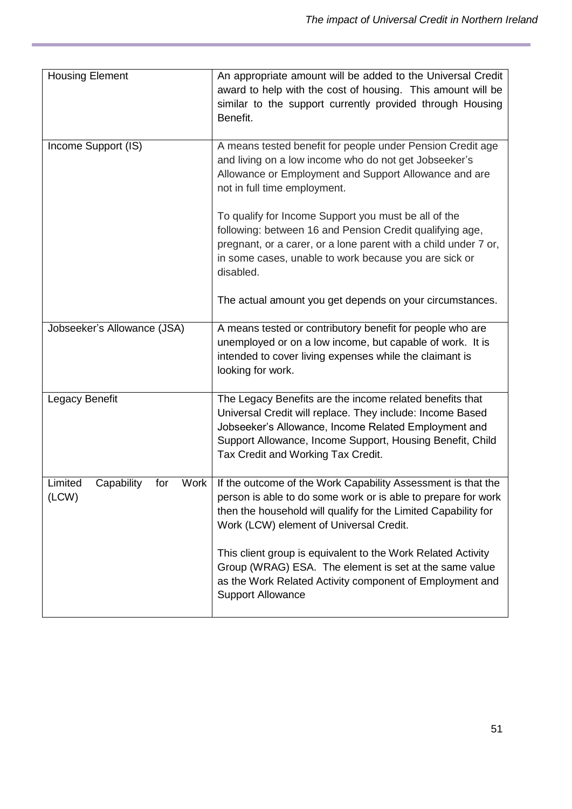| <b>Housing Element</b>                        | An appropriate amount will be added to the Universal Credit<br>award to help with the cost of housing. This amount will be<br>similar to the support currently provided through Housing<br>Benefit.                                                                              |
|-----------------------------------------------|----------------------------------------------------------------------------------------------------------------------------------------------------------------------------------------------------------------------------------------------------------------------------------|
| Income Support (IS)                           | A means tested benefit for people under Pension Credit age<br>and living on a low income who do not get Jobseeker's<br>Allowance or Employment and Support Allowance and are<br>not in full time employment.                                                                     |
|                                               | To qualify for Income Support you must be all of the<br>following: between 16 and Pension Credit qualifying age,<br>pregnant, or a carer, or a lone parent with a child under 7 or,<br>in some cases, unable to work because you are sick or<br>disabled.                        |
|                                               | The actual amount you get depends on your circumstances.                                                                                                                                                                                                                         |
| Jobseeker's Allowance (JSA)                   | A means tested or contributory benefit for people who are<br>unemployed or on a low income, but capable of work. It is<br>intended to cover living expenses while the claimant is<br>looking for work.                                                                           |
| Legacy Benefit                                | The Legacy Benefits are the income related benefits that<br>Universal Credit will replace. They include: Income Based<br>Jobseeker's Allowance, Income Related Employment and<br>Support Allowance, Income Support, Housing Benefit, Child<br>Tax Credit and Working Tax Credit. |
| Limited<br>Work<br>Capability<br>for<br>(LCW) | If the outcome of the Work Capability Assessment is that the<br>person is able to do some work or is able to prepare for work<br>then the household will qualify for the Limited Capability for<br>Work (LCW) element of Universal Credit.                                       |
|                                               | This client group is equivalent to the Work Related Activity<br>Group (WRAG) ESA. The element is set at the same value<br>as the Work Related Activity component of Employment and<br><b>Support Allowance</b>                                                                   |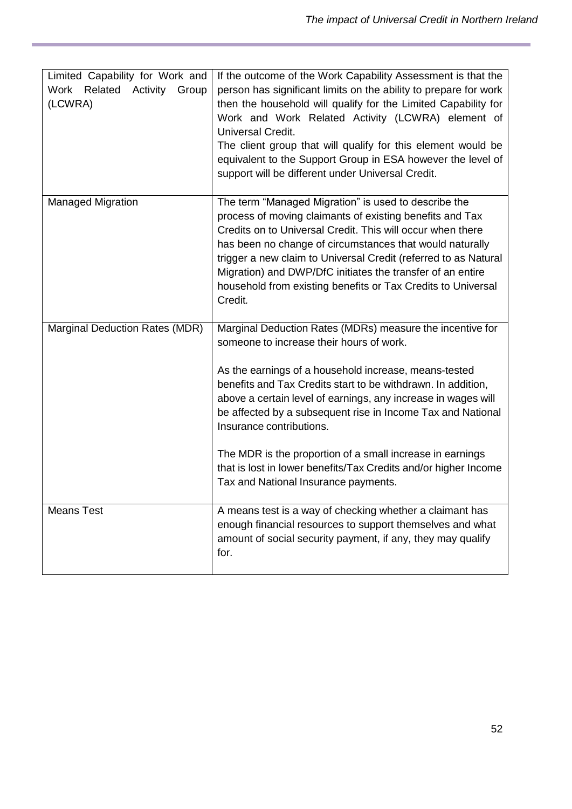| Limited Capability for Work and<br>Work<br>Related Activity<br>Group<br>(LCWRA) | If the outcome of the Work Capability Assessment is that the<br>person has significant limits on the ability to prepare for work<br>then the household will qualify for the Limited Capability for<br>Work and Work Related Activity (LCWRA) element of<br>Universal Credit.<br>The client group that will qualify for this element would be<br>equivalent to the Support Group in ESA however the level of<br>support will be different under Universal Credit.                                                                                                   |
|---------------------------------------------------------------------------------|--------------------------------------------------------------------------------------------------------------------------------------------------------------------------------------------------------------------------------------------------------------------------------------------------------------------------------------------------------------------------------------------------------------------------------------------------------------------------------------------------------------------------------------------------------------------|
| <b>Managed Migration</b>                                                        | The term "Managed Migration" is used to describe the<br>process of moving claimants of existing benefits and Tax<br>Credits on to Universal Credit. This will occur when there<br>has been no change of circumstances that would naturally<br>trigger a new claim to Universal Credit (referred to as Natural<br>Migration) and DWP/DfC initiates the transfer of an entire<br>household from existing benefits or Tax Credits to Universal<br>Credit.                                                                                                             |
| Marginal Deduction Rates (MDR)                                                  | Marginal Deduction Rates (MDRs) measure the incentive for<br>someone to increase their hours of work.<br>As the earnings of a household increase, means-tested<br>benefits and Tax Credits start to be withdrawn. In addition,<br>above a certain level of earnings, any increase in wages will<br>be affected by a subsequent rise in Income Tax and National<br>Insurance contributions.<br>The MDR is the proportion of a small increase in earnings<br>that is lost in lower benefits/Tax Credits and/or higher Income<br>Tax and National Insurance payments. |
| <b>Means Test</b>                                                               | A means test is a way of checking whether a claimant has<br>enough financial resources to support themselves and what<br>amount of social security payment, if any, they may qualify<br>for.                                                                                                                                                                                                                                                                                                                                                                       |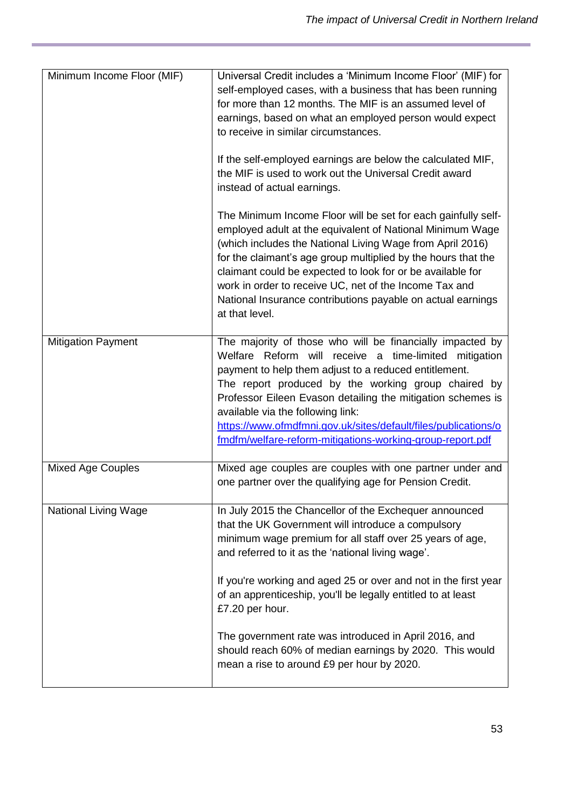| Minimum Income Floor (MIF)  | Universal Credit includes a 'Minimum Income Floor' (MIF) for<br>self-employed cases, with a business that has been running<br>for more than 12 months. The MIF is an assumed level of<br>earnings, based on what an employed person would expect<br>to receive in similar circumstances.<br>If the self-employed earnings are below the calculated MIF,<br>the MIF is used to work out the Universal Credit award<br>instead of actual earnings.<br>The Minimum Income Floor will be set for each gainfully self-<br>employed adult at the equivalent of National Minimum Wage<br>(which includes the National Living Wage from April 2016)<br>for the claimant's age group multiplied by the hours that the<br>claimant could be expected to look for or be available for<br>work in order to receive UC, net of the Income Tax and<br>National Insurance contributions payable on actual earnings<br>at that level. |
|-----------------------------|-----------------------------------------------------------------------------------------------------------------------------------------------------------------------------------------------------------------------------------------------------------------------------------------------------------------------------------------------------------------------------------------------------------------------------------------------------------------------------------------------------------------------------------------------------------------------------------------------------------------------------------------------------------------------------------------------------------------------------------------------------------------------------------------------------------------------------------------------------------------------------------------------------------------------|
| <b>Mitigation Payment</b>   | The majority of those who will be financially impacted by<br>Welfare Reform will receive a time-limited mitigation<br>payment to help them adjust to a reduced entitlement.<br>The report produced by the working group chaired by<br>Professor Eileen Evason detailing the mitigation schemes is<br>available via the following link:<br>https://www.ofmdfmni.gov.uk/sites/default/files/publications/o<br>fmdfm/welfare-reform-mitigations-working-group-report.pdf                                                                                                                                                                                                                                                                                                                                                                                                                                                 |
| <b>Mixed Age Couples</b>    | Mixed age couples are couples with one partner under and<br>one partner over the qualifying age for Pension Credit.                                                                                                                                                                                                                                                                                                                                                                                                                                                                                                                                                                                                                                                                                                                                                                                                   |
| <b>National Living Wage</b> | In July 2015 the Chancellor of the Exchequer announced<br>that the UK Government will introduce a compulsory<br>minimum wage premium for all staff over 25 years of age,<br>and referred to it as the 'national living wage'.                                                                                                                                                                                                                                                                                                                                                                                                                                                                                                                                                                                                                                                                                         |
|                             | If you're working and aged 25 or over and not in the first year<br>of an apprenticeship, you'll be legally entitled to at least<br>£7.20 per hour.                                                                                                                                                                                                                                                                                                                                                                                                                                                                                                                                                                                                                                                                                                                                                                    |
|                             | The government rate was introduced in April 2016, and<br>should reach 60% of median earnings by 2020. This would<br>mean a rise to around £9 per hour by 2020.                                                                                                                                                                                                                                                                                                                                                                                                                                                                                                                                                                                                                                                                                                                                                        |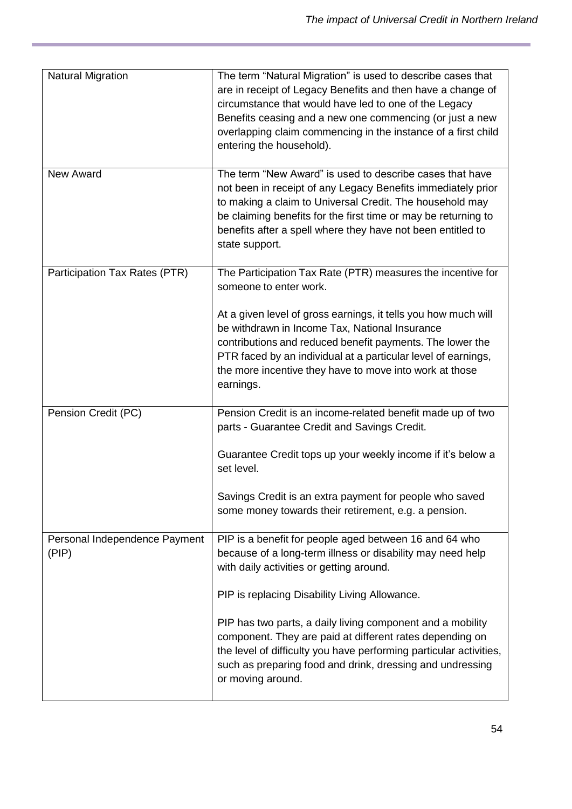| <b>Natural Migration</b>               | The term "Natural Migration" is used to describe cases that<br>are in receipt of Legacy Benefits and then have a change of<br>circumstance that would have led to one of the Legacy<br>Benefits ceasing and a new one commencing (or just a new<br>overlapping claim commencing in the instance of a first child<br>entering the household). |
|----------------------------------------|----------------------------------------------------------------------------------------------------------------------------------------------------------------------------------------------------------------------------------------------------------------------------------------------------------------------------------------------|
| New Award                              | The term "New Award" is used to describe cases that have<br>not been in receipt of any Legacy Benefits immediately prior<br>to making a claim to Universal Credit. The household may<br>be claiming benefits for the first time or may be returning to<br>benefits after a spell where they have not been entitled to<br>state support.      |
| Participation Tax Rates (PTR)          | The Participation Tax Rate (PTR) measures the incentive for<br>someone to enter work.                                                                                                                                                                                                                                                        |
|                                        | At a given level of gross earnings, it tells you how much will<br>be withdrawn in Income Tax, National Insurance<br>contributions and reduced benefit payments. The lower the<br>PTR faced by an individual at a particular level of earnings,<br>the more incentive they have to move into work at those<br>earnings.                       |
| Pension Credit (PC)                    | Pension Credit is an income-related benefit made up of two<br>parts - Guarantee Credit and Savings Credit.                                                                                                                                                                                                                                   |
|                                        | Guarantee Credit tops up your weekly income if it's below a<br>set level.                                                                                                                                                                                                                                                                    |
|                                        | Savings Credit is an extra payment for people who saved<br>some money towards their retirement, e.g. a pension.                                                                                                                                                                                                                              |
| Personal Independence Payment<br>(PIP) | PIP is a benefit for people aged between 16 and 64 who<br>because of a long-term illness or disability may need help<br>with daily activities or getting around.                                                                                                                                                                             |
|                                        | PIP is replacing Disability Living Allowance.                                                                                                                                                                                                                                                                                                |
|                                        | PIP has two parts, a daily living component and a mobility<br>component. They are paid at different rates depending on<br>the level of difficulty you have performing particular activities,<br>such as preparing food and drink, dressing and undressing<br>or moving around.                                                               |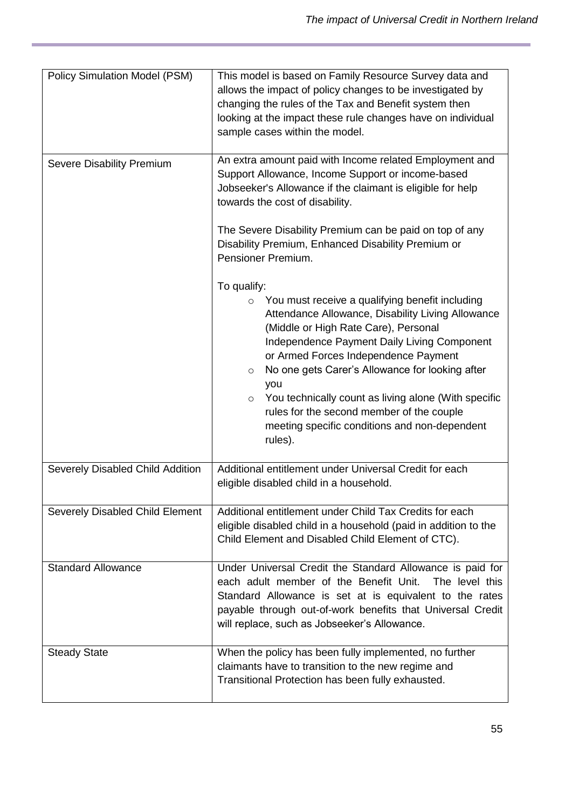| Policy Simulation Model (PSM)    | This model is based on Family Resource Survey data and<br>allows the impact of policy changes to be investigated by<br>changing the rules of the Tax and Benefit system then<br>looking at the impact these rule changes have on individual<br>sample cases within the model.                                                                                                                                                                                                                                  |
|----------------------------------|----------------------------------------------------------------------------------------------------------------------------------------------------------------------------------------------------------------------------------------------------------------------------------------------------------------------------------------------------------------------------------------------------------------------------------------------------------------------------------------------------------------|
| Severe Disability Premium        | An extra amount paid with Income related Employment and<br>Support Allowance, Income Support or income-based<br>Jobseeker's Allowance if the claimant is eligible for help<br>towards the cost of disability.                                                                                                                                                                                                                                                                                                  |
|                                  | The Severe Disability Premium can be paid on top of any<br>Disability Premium, Enhanced Disability Premium or<br>Pensioner Premium.                                                                                                                                                                                                                                                                                                                                                                            |
|                                  | To qualify:<br>You must receive a qualifying benefit including<br>$\circ$<br>Attendance Allowance, Disability Living Allowance<br>(Middle or High Rate Care), Personal<br>Independence Payment Daily Living Component<br>or Armed Forces Independence Payment<br>No one gets Carer's Allowance for looking after<br>$\circ$<br>you<br>You technically count as living alone (With specific<br>$\circ$<br>rules for the second member of the couple<br>meeting specific conditions and non-dependent<br>rules). |
| Severely Disabled Child Addition | Additional entitlement under Universal Credit for each<br>eligible disabled child in a household.                                                                                                                                                                                                                                                                                                                                                                                                              |
| Severely Disabled Child Element  | Additional entitlement under Child Tax Credits for each<br>eligible disabled child in a household (paid in addition to the<br>Child Element and Disabled Child Element of CTC).                                                                                                                                                                                                                                                                                                                                |
| <b>Standard Allowance</b>        | Under Universal Credit the Standard Allowance is paid for<br>each adult member of the Benefit Unit.<br>The level this<br>Standard Allowance is set at is equivalent to the rates<br>payable through out-of-work benefits that Universal Credit<br>will replace, such as Jobseeker's Allowance.                                                                                                                                                                                                                 |
| <b>Steady State</b>              | When the policy has been fully implemented, no further<br>claimants have to transition to the new regime and<br>Transitional Protection has been fully exhausted.                                                                                                                                                                                                                                                                                                                                              |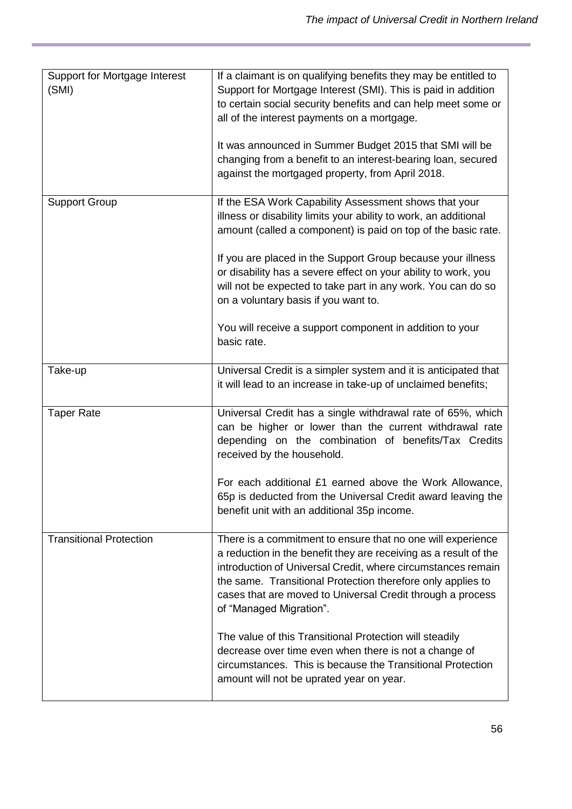| Support for Mortgage Interest<br>(SMI) | If a claimant is on qualifying benefits they may be entitled to<br>Support for Mortgage Interest (SMI). This is paid in addition<br>to certain social security benefits and can help meet some or<br>all of the interest payments on a mortgage.<br>It was announced in Summer Budget 2015 that SMI will be<br>changing from a benefit to an interest-bearing loan, secured<br>against the mortgaged property, from April 2018. |
|----------------------------------------|---------------------------------------------------------------------------------------------------------------------------------------------------------------------------------------------------------------------------------------------------------------------------------------------------------------------------------------------------------------------------------------------------------------------------------|
| <b>Support Group</b>                   | If the ESA Work Capability Assessment shows that your<br>illness or disability limits your ability to work, an additional<br>amount (called a component) is paid on top of the basic rate.<br>If you are placed in the Support Group because your illness                                                                                                                                                                       |
|                                        | or disability has a severe effect on your ability to work, you<br>will not be expected to take part in any work. You can do so<br>on a voluntary basis if you want to.                                                                                                                                                                                                                                                          |
|                                        | You will receive a support component in addition to your<br>basic rate.                                                                                                                                                                                                                                                                                                                                                         |
| Take-up                                | Universal Credit is a simpler system and it is anticipated that<br>it will lead to an increase in take-up of unclaimed benefits;                                                                                                                                                                                                                                                                                                |
| <b>Taper Rate</b>                      | Universal Credit has a single withdrawal rate of 65%, which<br>can be higher or lower than the current withdrawal rate<br>depending on the combination of benefits/Tax Credits<br>received by the household.                                                                                                                                                                                                                    |
|                                        | For each additional £1 earned above the Work Allowance,<br>65p is deducted from the Universal Credit award leaving the<br>benefit unit with an additional 35p income.                                                                                                                                                                                                                                                           |
| <b>Transitional Protection</b>         | There is a commitment to ensure that no one will experience<br>a reduction in the benefit they are receiving as a result of the<br>introduction of Universal Credit, where circumstances remain<br>the same. Transitional Protection therefore only applies to<br>cases that are moved to Universal Credit through a process<br>of "Managed Migration".                                                                         |
|                                        | The value of this Transitional Protection will steadily<br>decrease over time even when there is not a change of<br>circumstances. This is because the Transitional Protection<br>amount will not be uprated year on year.                                                                                                                                                                                                      |